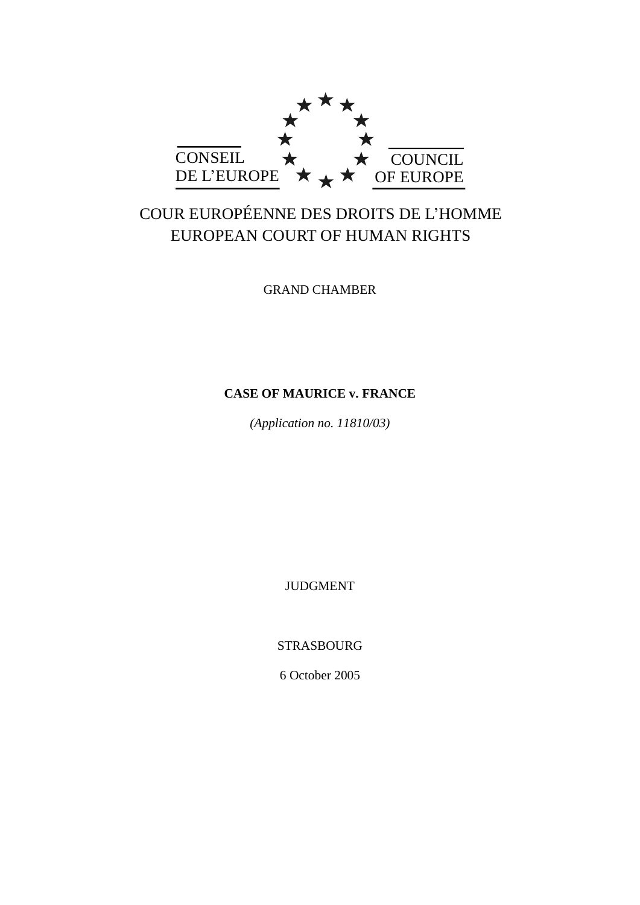

# COUR EUROPÉENNE DES DROITS DE L'HOMME EUROPEAN COURT OF HUMAN RIGHTS

GRAND CHAMBER

## **CASE OF MAURICE v. FRANCE**

*(Application no. 11810/03)*

JUDGMENT

STRASBOURG

6 October 2005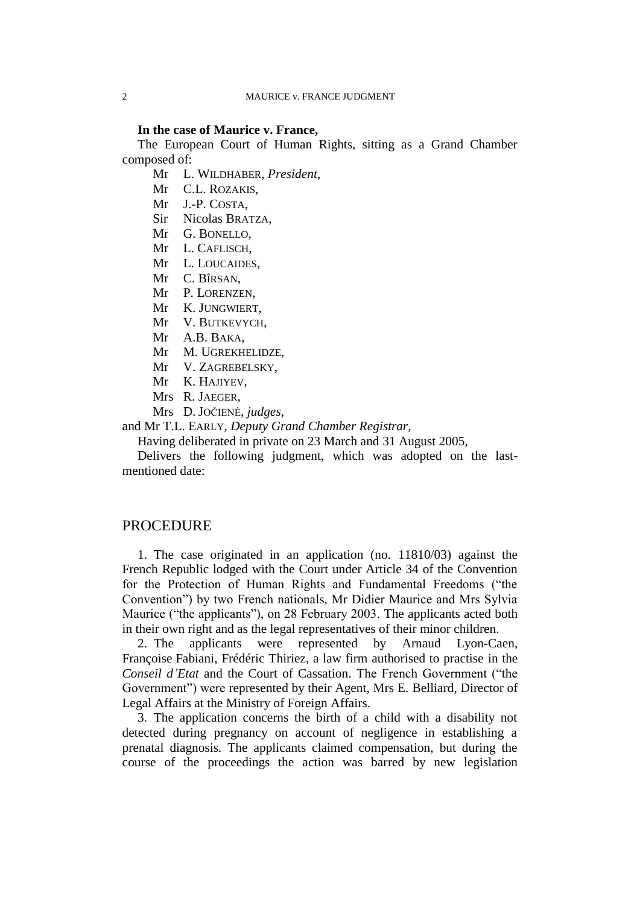#### **In the case of Maurice v. France,**

The European Court of Human Rights, sitting as a Grand Chamber composed of:

Mr L. WILDHABER, *President*,

- Mr C.L. ROZAKIS,
- Mr J.-P. COSTA,
- Sir Nicolas BRATZA,
- Mr G. BONELLO,
- Mr L. CAFLISCH,
- Mr L. LOUCAIDES,
- Mr C. BÎRSAN,
- Mr P. LORENZEN,
- Mr K. JUNGWIERT,
- Mr V. BUTKEVYCH,
- Mr A.B. BAKA,
- Mr M. UGREKHELIDZE,
- Mr V. ZAGREBELSKY,
- Mr K. HAJIYEV,
- Mrs R. JAEGER,
- Mrs D. JOČIENĖ, *judges*,

and Mr T.L. EARLY, *Deputy Grand Chamber Registrar*,

Having deliberated in private on 23 March and 31 August 2005,

Delivers the following judgment, which was adopted on the lastmentioned date:

## **PROCEDURE**

1. The case originated in an application (no. 11810/03) against the French Republic lodged with the Court under Article 34 of the Convention for the Protection of Human Rights and Fundamental Freedoms ("the Convention") by two French nationals, Mr Didier Maurice and Mrs Sylvia Maurice ("the applicants"), on 28 February 2003. The applicants acted both in their own right and as the legal representatives of their minor children.

2. The applicants were represented by Arnaud Lyon-Caen, Françoise Fabiani, Frédéric Thiriez, a law firm authorised to practise in the *Conseil d'Etat* and the Court of Cassation. The French Government ("the Government") were represented by their Agent, Mrs E. Belliard, Director of Legal Affairs at the Ministry of Foreign Affairs.

3. The application concerns the birth of a child with a disability not detected during pregnancy on account of negligence in establishing a prenatal diagnosis. The applicants claimed compensation, but during the course of the proceedings the action was barred by new legislation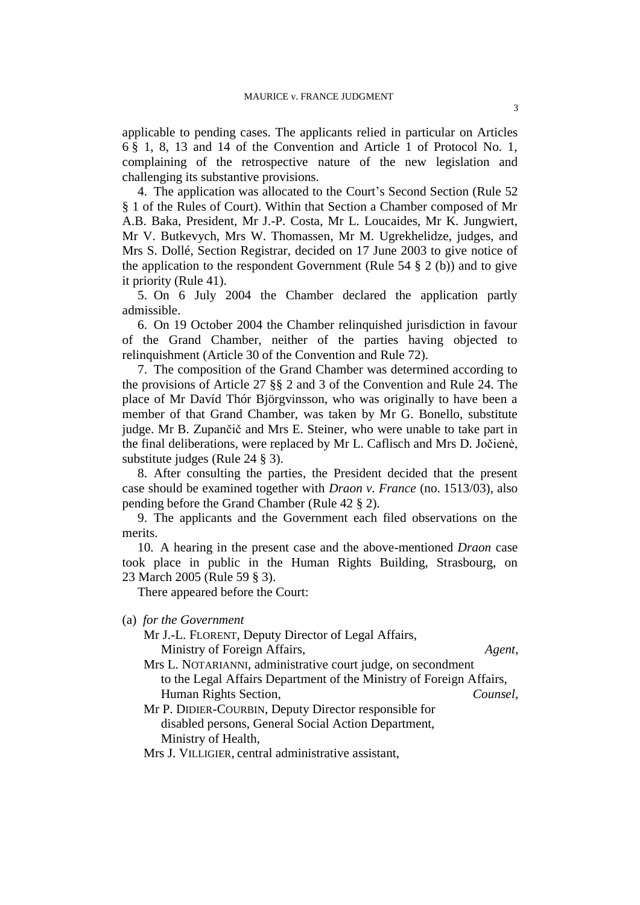applicable to pending cases. The applicants relied in particular on Articles 6 § 1, 8, 13 and 14 of the Convention and Article 1 of Protocol No. 1, complaining of the retrospective nature of the new legislation and challenging its substantive provisions.

4. The application was allocated to the Court's Second Section (Rule 52 § 1 of the Rules of Court). Within that Section a Chamber composed of Mr A.B. Baka, President, Mr J.-P. Costa, Mr L. Loucaides, Mr K. Jungwiert, Mr V. Butkevych, Mrs W. Thomassen, Mr M. Ugrekhelidze, judges, and Mrs S. Dollé, Section Registrar, decided on 17 June 2003 to give notice of the application to the respondent Government (Rule 54  $\S$  2 (b)) and to give it priority (Rule 41).

5. On 6 July 2004 the Chamber declared the application partly admissible.

6. On 19 October 2004 the Chamber relinquished jurisdiction in favour of the Grand Chamber, neither of the parties having objected to relinquishment (Article 30 of the Convention and Rule 72).

7. The composition of the Grand Chamber was determined according to the provisions of Article 27 §§ 2 and 3 of the Convention and Rule 24. The place of Mr Davíd Thór Björgvinsson, who was originally to have been a member of that Grand Chamber, was taken by Mr G. Bonello, substitute judge. Mr B. Zupančič and Mrs E. Steiner, who were unable to take part in the final deliberations, were replaced by Mr L. Caflisch and Mrs D. Jočienė, substitute judges (Rule 24 § 3).

8. After consulting the parties, the President decided that the present case should be examined together with *Draon v. France* (no. 1513/03), also pending before the Grand Chamber (Rule 42 § 2).

9. The applicants and the Government each filed observations on the merits.

10. A hearing in the present case and the above-mentioned *Draon* case took place in public in the Human Rights Building, Strasbourg, on 23 March 2005 (Rule 59 § 3).

There appeared before the Court:

(a) *for the Government*

Mr J.-L. FLORENT, Deputy Director of Legal Affairs, Ministry of Foreign Affairs, *Agent*,

Mrs L. NOTARIANNI, administrative court judge, on secondment to the Legal Affairs Department of the Ministry of Foreign Affairs, Human Rights Section, *Counsel*,

Mr P. DIDIER-COURBIN, Deputy Director responsible for disabled persons, General Social Action Department, Ministry of Health,

Mrs J. VILLIGIER, central administrative assistant,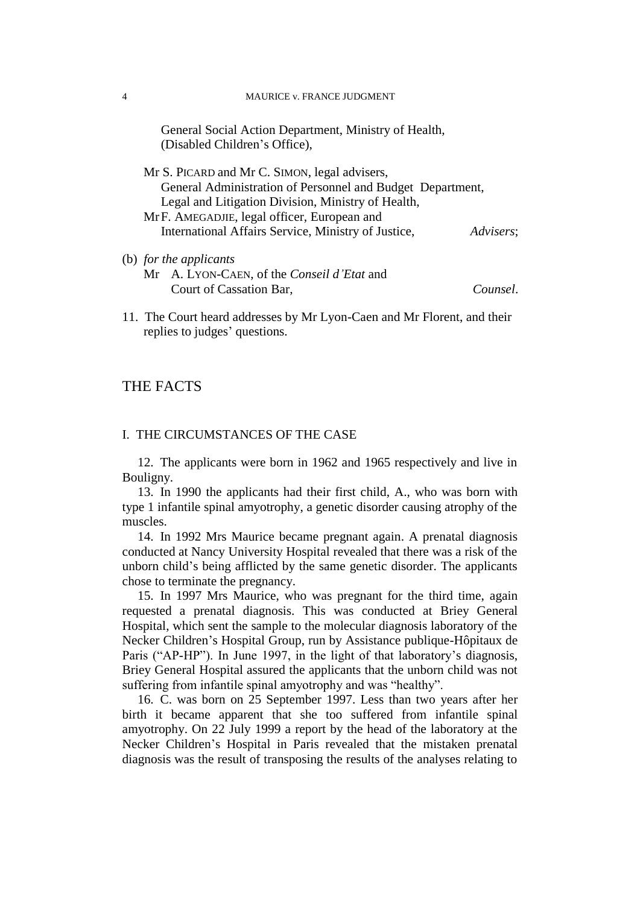General Social Action Department, Ministry of Health, (Disabled Children's Office),

| Mr S. PICARD and Mr C. SIMON, legal advisers,              |           |
|------------------------------------------------------------|-----------|
| General Administration of Personnel and Budget Department, |           |
| Legal and Litigation Division, Ministry of Health,         |           |
| MrF. AMEGADJIE, legal officer, European and                |           |
| International Affairs Service, Ministry of Justice,        | Advisers; |
| (b) for the applicants                                     |           |

Mr A. LYON-CAEN, of the *Conseil d'Etat* and Court of Cassation Bar, *Counsel*.

11. The Court heard addresses by Mr Lyon-Caen and Mr Florent, and their replies to judges' questions.

## THE FACTS

## I. THE CIRCUMSTANCES OF THE CASE

12. The applicants were born in 1962 and 1965 respectively and live in Bouligny.

13. In 1990 the applicants had their first child, A., who was born with type 1 infantile spinal amyotrophy, a genetic disorder causing atrophy of the muscles.

14. In 1992 Mrs Maurice became pregnant again. A prenatal diagnosis conducted at Nancy University Hospital revealed that there was a risk of the unborn child's being afflicted by the same genetic disorder. The applicants chose to terminate the pregnancy.

15. In 1997 Mrs Maurice, who was pregnant for the third time, again requested a prenatal diagnosis. This was conducted at Briey General Hospital, which sent the sample to the molecular diagnosis laboratory of the Necker Children's Hospital Group, run by Assistance publique-Hôpitaux de Paris ("AP-HP"). In June 1997, in the light of that laboratory's diagnosis, Briey General Hospital assured the applicants that the unborn child was not suffering from infantile spinal amyotrophy and was "healthy".

16. C. was born on 25 September 1997. Less than two years after her birth it became apparent that she too suffered from infantile spinal amyotrophy. On 22 July 1999 a report by the head of the laboratory at the Necker Children's Hospital in Paris revealed that the mistaken prenatal diagnosis was the result of transposing the results of the analyses relating to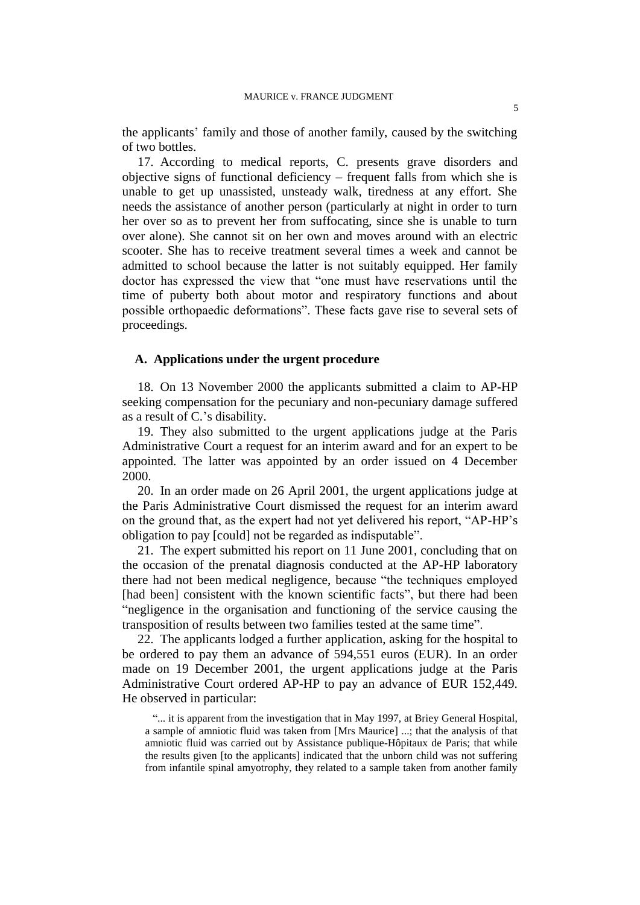the applicants' family and those of another family, caused by the switching of two bottles.

17. According to medical reports, C. presents grave disorders and objective signs of functional deficiency – frequent falls from which she is unable to get up unassisted, unsteady walk, tiredness at any effort. She needs the assistance of another person (particularly at night in order to turn her over so as to prevent her from suffocating, since she is unable to turn over alone). She cannot sit on her own and moves around with an electric scooter. She has to receive treatment several times a week and cannot be admitted to school because the latter is not suitably equipped. Her family doctor has expressed the view that "one must have reservations until the time of puberty both about motor and respiratory functions and about possible orthopaedic deformations". These facts gave rise to several sets of proceedings.

### **A. Applications under the urgent procedure**

18. On 13 November 2000 the applicants submitted a claim to AP-HP seeking compensation for the pecuniary and non-pecuniary damage suffered as a result of C.'s disability.

19. They also submitted to the urgent applications judge at the Paris Administrative Court a request for an interim award and for an expert to be appointed. The latter was appointed by an order issued on 4 December 2000.

20. In an order made on 26 April 2001, the urgent applications judge at the Paris Administrative Court dismissed the request for an interim award on the ground that, as the expert had not yet delivered his report, "AP-HP's obligation to pay [could] not be regarded as indisputable".

21. The expert submitted his report on 11 June 2001, concluding that on the occasion of the prenatal diagnosis conducted at the AP-HP laboratory there had not been medical negligence, because "the techniques employed [had been] consistent with the known scientific facts", but there had been "negligence in the organisation and functioning of the service causing the transposition of results between two families tested at the same time".

22. The applicants lodged a further application, asking for the hospital to be ordered to pay them an advance of 594,551 euros (EUR). In an order made on 19 December 2001, the urgent applications judge at the Paris Administrative Court ordered AP-HP to pay an advance of EUR 152,449. He observed in particular:

"... it is apparent from the investigation that in May 1997, at Briey General Hospital, a sample of amniotic fluid was taken from [Mrs Maurice] ...; that the analysis of that amniotic fluid was carried out by Assistance publique-Hôpitaux de Paris; that while the results given [to the applicants] indicated that the unborn child was not suffering from infantile spinal amyotrophy, they related to a sample taken from another family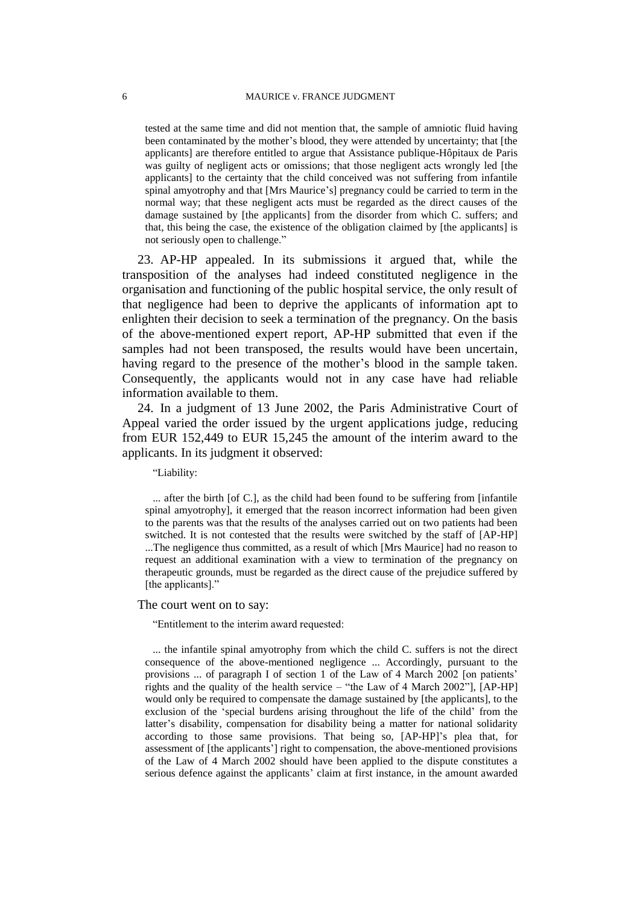tested at the same time and did not mention that, the sample of amniotic fluid having been contaminated by the mother's blood, they were attended by uncertainty; that [the applicants] are therefore entitled to argue that Assistance publique-Hôpitaux de Paris was guilty of negligent acts or omissions; that those negligent acts wrongly led [the applicants] to the certainty that the child conceived was not suffering from infantile spinal amyotrophy and that [Mrs Maurice's] pregnancy could be carried to term in the normal way; that these negligent acts must be regarded as the direct causes of the damage sustained by [the applicants] from the disorder from which C. suffers; and that, this being the case, the existence of the obligation claimed by [the applicants] is not seriously open to challenge."

23. AP-HP appealed. In its submissions it argued that, while the transposition of the analyses had indeed constituted negligence in the organisation and functioning of the public hospital service, the only result of that negligence had been to deprive the applicants of information apt to enlighten their decision to seek a termination of the pregnancy. On the basis of the above-mentioned expert report, AP-HP submitted that even if the samples had not been transposed, the results would have been uncertain, having regard to the presence of the mother's blood in the sample taken. Consequently, the applicants would not in any case have had reliable information available to them.

24. In a judgment of 13 June 2002, the Paris Administrative Court of Appeal varied the order issued by the urgent applications judge, reducing from EUR 152,449 to EUR 15,245 the amount of the interim award to the applicants. In its judgment it observed:

"Liability:

... after the birth [of C.], as the child had been found to be suffering from [infantile spinal amyotrophy], it emerged that the reason incorrect information had been given to the parents was that the results of the analyses carried out on two patients had been switched. It is not contested that the results were switched by the staff of [AP-HP] ...The negligence thus committed, as a result of which [Mrs Maurice] had no reason to request an additional examination with a view to termination of the pregnancy on therapeutic grounds, must be regarded as the direct cause of the prejudice suffered by [the applicants]."

#### The court went on to say:

"Entitlement to the interim award requested:

... the infantile spinal amyotrophy from which the child C. suffers is not the direct consequence of the above-mentioned negligence ... Accordingly, pursuant to the provisions ... of paragraph I of section 1 of the Law of 4 March 2002 [on patients' rights and the quality of the health service – "the Law of 4 March 2002"], [AP-HP] would only be required to compensate the damage sustained by [the applicants], to the exclusion of the 'special burdens arising throughout the life of the child' from the latter's disability, compensation for disability being a matter for national solidarity according to those same provisions. That being so, [AP-HP]'s plea that, for assessment of [the applicants'] right to compensation, the above-mentioned provisions of the Law of 4 March 2002 should have been applied to the dispute constitutes a serious defence against the applicants' claim at first instance, in the amount awarded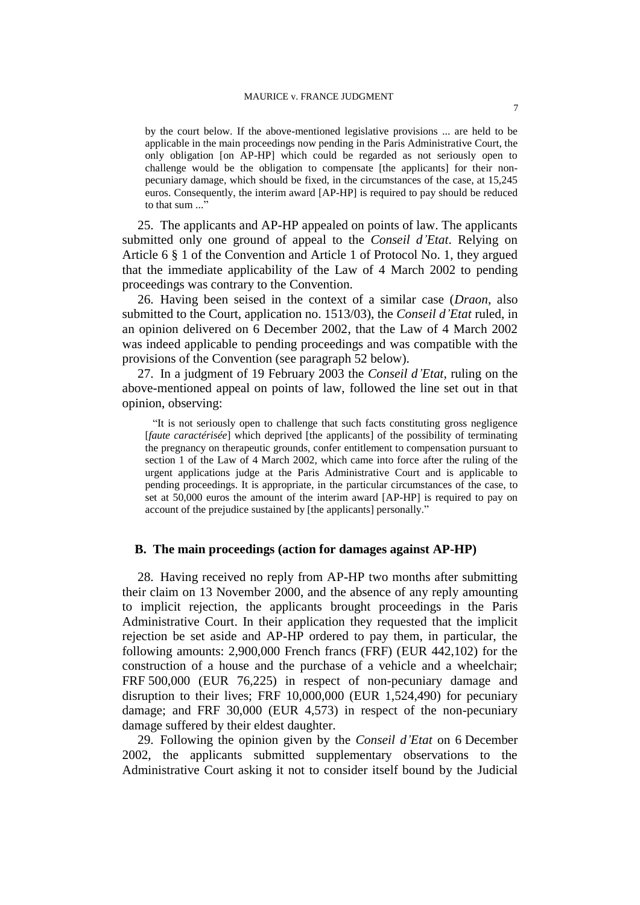by the court below. If the above-mentioned legislative provisions ... are held to be applicable in the main proceedings now pending in the Paris Administrative Court, the only obligation [on AP-HP] which could be regarded as not seriously open to challenge would be the obligation to compensate [the applicants] for their nonpecuniary damage, which should be fixed, in the circumstances of the case, at 15,245 euros. Consequently, the interim award [AP-HP] is required to pay should be reduced to that sum ..."

25. The applicants and AP-HP appealed on points of law. The applicants submitted only one ground of appeal to the *Conseil d'Etat*. Relying on Article 6 § 1 of the Convention and Article 1 of Protocol No. 1, they argued that the immediate applicability of the Law of 4 March 2002 to pending proceedings was contrary to the Convention.

26. Having been seised in the context of a similar case (*Draon*, also submitted to the Court, application no. 1513/03), the *Conseil d'Etat* ruled, in an opinion delivered on 6 December 2002, that the Law of 4 March 2002 was indeed applicable to pending proceedings and was compatible with the provisions of the Convention (see paragraph 52 below).

27. In a judgment of 19 February 2003 the *Conseil d'Etat*, ruling on the above-mentioned appeal on points of law, followed the line set out in that opinion, observing:

"It is not seriously open to challenge that such facts constituting gross negligence [*faute caractérisée*] which deprived [the applicants] of the possibility of terminating the pregnancy on therapeutic grounds, confer entitlement to compensation pursuant to section 1 of the Law of 4 March 2002, which came into force after the ruling of the urgent applications judge at the Paris Administrative Court and is applicable to pending proceedings. It is appropriate, in the particular circumstances of the case, to set at 50,000 euros the amount of the interim award [AP-HP] is required to pay on account of the prejudice sustained by [the applicants] personally."

#### **B. The main proceedings (action for damages against AP-HP)**

28. Having received no reply from AP-HP two months after submitting their claim on 13 November 2000, and the absence of any reply amounting to implicit rejection, the applicants brought proceedings in the Paris Administrative Court. In their application they requested that the implicit rejection be set aside and AP-HP ordered to pay them, in particular, the following amounts: 2,900,000 French francs (FRF) (EUR 442,102) for the construction of a house and the purchase of a vehicle and a wheelchair; FRF 500,000 (EUR 76,225) in respect of non-pecuniary damage and disruption to their lives; FRF 10,000,000 (EUR 1,524,490) for pecuniary damage; and FRF 30,000 (EUR 4,573) in respect of the non-pecuniary damage suffered by their eldest daughter.

29. Following the opinion given by the *Conseil d'Etat* on 6 December 2002, the applicants submitted supplementary observations to the Administrative Court asking it not to consider itself bound by the Judicial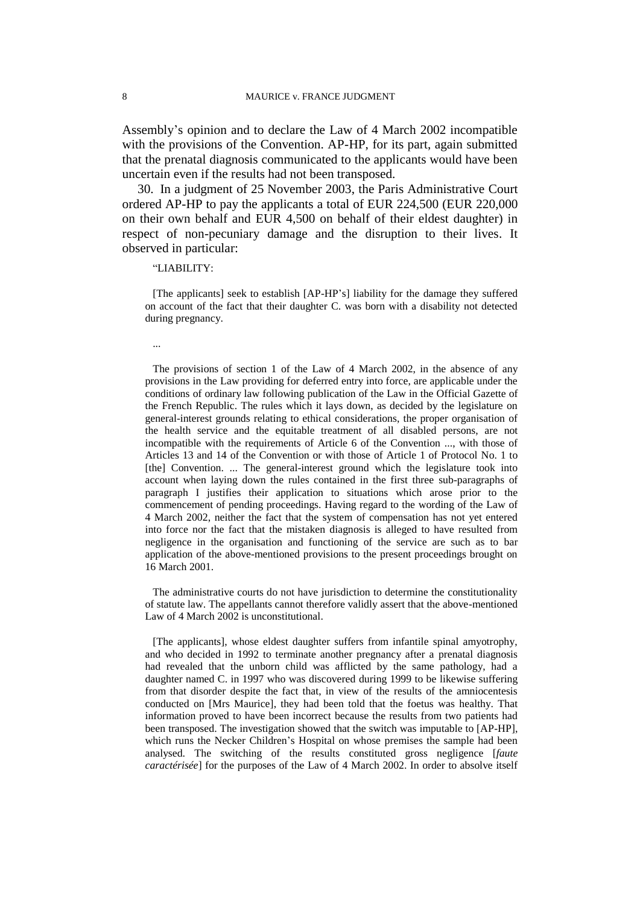Assembly's opinion and to declare the Law of 4 March 2002 incompatible with the provisions of the Convention. AP-HP, for its part, again submitted that the prenatal diagnosis communicated to the applicants would have been uncertain even if the results had not been transposed.

30. In a judgment of 25 November 2003, the Paris Administrative Court ordered AP-HP to pay the applicants a total of EUR 224,500 (EUR 220,000 on their own behalf and EUR 4,500 on behalf of their eldest daughter) in respect of non-pecuniary damage and the disruption to their lives. It observed in particular:

#### "LIABILITY:

[The applicants] seek to establish [AP-HP's] liability for the damage they suffered on account of the fact that their daughter C. was born with a disability not detected during pregnancy.

...

The provisions of section 1 of the Law of 4 March 2002, in the absence of any provisions in the Law providing for deferred entry into force, are applicable under the conditions of ordinary law following publication of the Law in the Official Gazette of the French Republic. The rules which it lays down, as decided by the legislature on general-interest grounds relating to ethical considerations, the proper organisation of the health service and the equitable treatment of all disabled persons, are not incompatible with the requirements of Article 6 of the Convention ..., with those of Articles 13 and 14 of the Convention or with those of Article 1 of Protocol No. 1 to [the] Convention. ... The general-interest ground which the legislature took into account when laying down the rules contained in the first three sub-paragraphs of paragraph I justifies their application to situations which arose prior to the commencement of pending proceedings. Having regard to the wording of the Law of 4 March 2002, neither the fact that the system of compensation has not yet entered into force nor the fact that the mistaken diagnosis is alleged to have resulted from negligence in the organisation and functioning of the service are such as to bar application of the above-mentioned provisions to the present proceedings brought on 16 March 2001.

The administrative courts do not have jurisdiction to determine the constitutionality of statute law. The appellants cannot therefore validly assert that the above-mentioned Law of 4 March 2002 is unconstitutional.

[The applicants], whose eldest daughter suffers from infantile spinal amyotrophy, and who decided in 1992 to terminate another pregnancy after a prenatal diagnosis had revealed that the unborn child was afflicted by the same pathology, had a daughter named C. in 1997 who was discovered during 1999 to be likewise suffering from that disorder despite the fact that, in view of the results of the amniocentesis conducted on [Mrs Maurice], they had been told that the foetus was healthy. That information proved to have been incorrect because the results from two patients had been transposed. The investigation showed that the switch was imputable to [AP-HP], which runs the Necker Children's Hospital on whose premises the sample had been analysed. The switching of the results constituted gross negligence [*faute caractérisée*] for the purposes of the Law of 4 March 2002. In order to absolve itself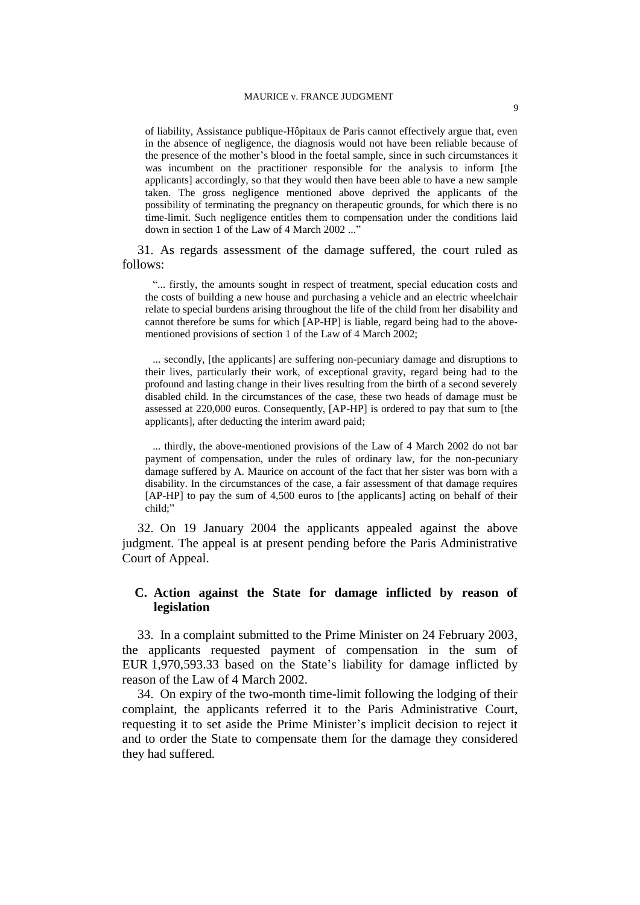of liability, Assistance publique-Hôpitaux de Paris cannot effectively argue that, even in the absence of negligence, the diagnosis would not have been reliable because of the presence of the mother's blood in the foetal sample, since in such circumstances it was incumbent on the practitioner responsible for the analysis to inform [the applicants] accordingly, so that they would then have been able to have a new sample taken. The gross negligence mentioned above deprived the applicants of the possibility of terminating the pregnancy on therapeutic grounds, for which there is no time-limit. Such negligence entitles them to compensation under the conditions laid down in section 1 of the Law of 4 March 2002 ..."

31. As regards assessment of the damage suffered, the court ruled as follows:

"... firstly, the amounts sought in respect of treatment, special education costs and the costs of building a new house and purchasing a vehicle and an electric wheelchair relate to special burdens arising throughout the life of the child from her disability and cannot therefore be sums for which [AP-HP] is liable, regard being had to the abovementioned provisions of section 1 of the Law of 4 March 2002;

... secondly, [the applicants] are suffering non-pecuniary damage and disruptions to their lives, particularly their work, of exceptional gravity, regard being had to the profound and lasting change in their lives resulting from the birth of a second severely disabled child. In the circumstances of the case, these two heads of damage must be assessed at 220,000 euros. Consequently, [AP-HP] is ordered to pay that sum to [the applicants], after deducting the interim award paid;

... thirdly, the above-mentioned provisions of the Law of 4 March 2002 do not bar payment of compensation, under the rules of ordinary law, for the non-pecuniary damage suffered by A. Maurice on account of the fact that her sister was born with a disability. In the circumstances of the case, a fair assessment of that damage requires [AP-HP] to pay the sum of 4,500 euros to [the applicants] acting on behalf of their child;"

32. On 19 January 2004 the applicants appealed against the above judgment. The appeal is at present pending before the Paris Administrative Court of Appeal.

## **C. Action against the State for damage inflicted by reason of legislation**

33. In a complaint submitted to the Prime Minister on 24 February 2003, the applicants requested payment of compensation in the sum of EUR 1,970,593.33 based on the State's liability for damage inflicted by reason of the Law of 4 March 2002.

34. On expiry of the two-month time-limit following the lodging of their complaint, the applicants referred it to the Paris Administrative Court, requesting it to set aside the Prime Minister's implicit decision to reject it and to order the State to compensate them for the damage they considered they had suffered.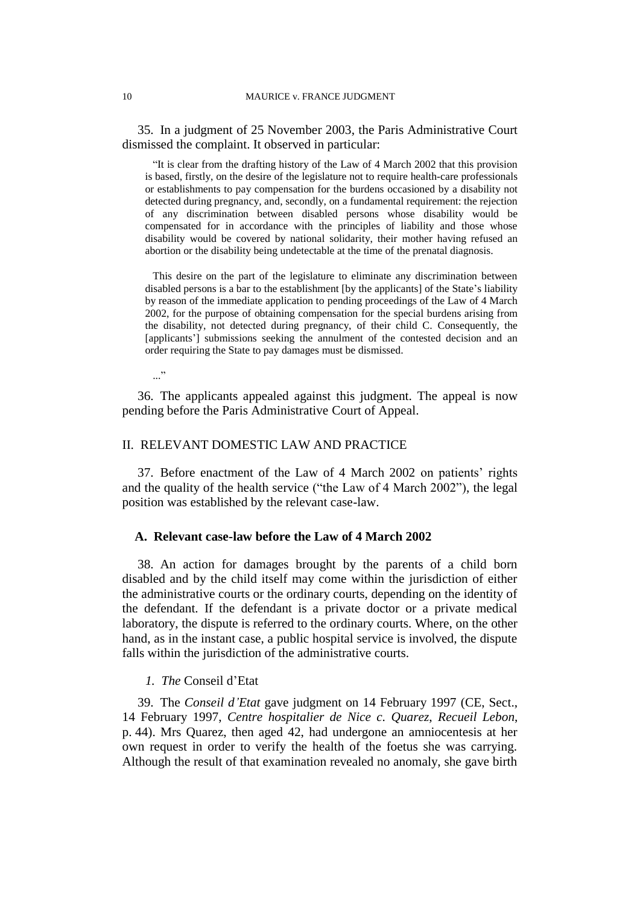35. In a judgment of 25 November 2003, the Paris Administrative Court dismissed the complaint. It observed in particular:

"It is clear from the drafting history of the Law of 4 March 2002 that this provision is based, firstly, on the desire of the legislature not to require health-care professionals or establishments to pay compensation for the burdens occasioned by a disability not detected during pregnancy, and, secondly, on a fundamental requirement: the rejection of any discrimination between disabled persons whose disability would be compensated for in accordance with the principles of liability and those whose disability would be covered by national solidarity, their mother having refused an abortion or the disability being undetectable at the time of the prenatal diagnosis.

This desire on the part of the legislature to eliminate any discrimination between disabled persons is a bar to the establishment [by the applicants] of the State's liability by reason of the immediate application to pending proceedings of the Law of 4 March 2002, for the purpose of obtaining compensation for the special burdens arising from the disability, not detected during pregnancy, of their child C. Consequently, the [applicants'] submissions seeking the annulment of the contested decision and an order requiring the State to pay damages must be dismissed.

..."

36. The applicants appealed against this judgment. The appeal is now pending before the Paris Administrative Court of Appeal.

## II. RELEVANT DOMESTIC LAW AND PRACTICE

37. Before enactment of the Law of 4 March 2002 on patients' rights and the quality of the health service ("the Law of 4 March 2002"), the legal position was established by the relevant case-law.

## **A. Relevant case-law before the Law of 4 March 2002**

38. An action for damages brought by the parents of a child born disabled and by the child itself may come within the jurisdiction of either the administrative courts or the ordinary courts, depending on the identity of the defendant. If the defendant is a private doctor or a private medical laboratory, the dispute is referred to the ordinary courts. Where, on the other hand, as in the instant case, a public hospital service is involved, the dispute falls within the jurisdiction of the administrative courts.

#### *1. The* Conseil d'Etat

39. The *Conseil d'Etat* gave judgment on 14 February 1997 (CE, Sect., 14 February 1997, *Centre hospitalier de Nice c. Quarez*, *Recueil Lebon*, p. 44). Mrs Quarez, then aged 42, had undergone an amniocentesis at her own request in order to verify the health of the foetus she was carrying. Although the result of that examination revealed no anomaly, she gave birth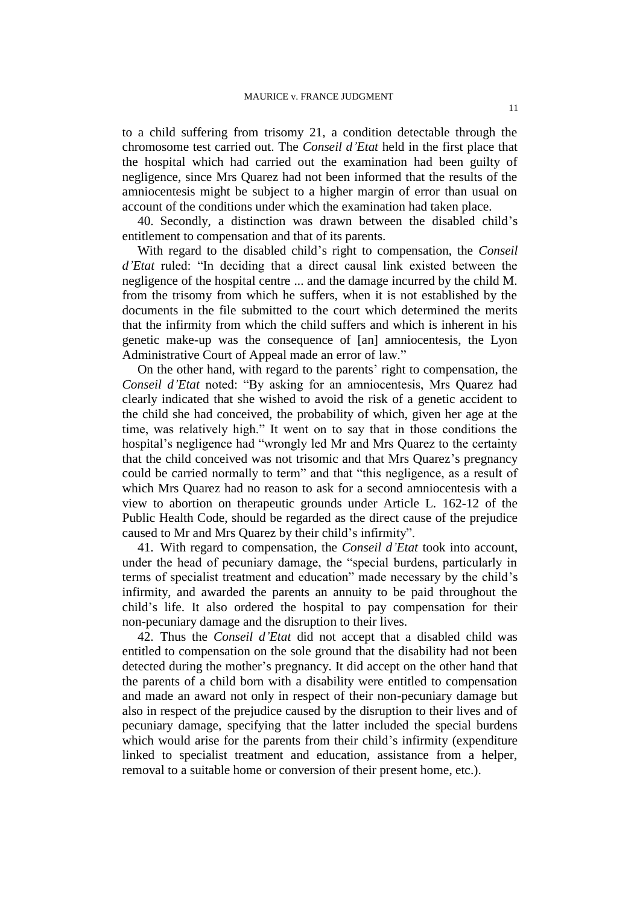to a child suffering from trisomy 21, a condition detectable through the chromosome test carried out. The *Conseil d'Etat* held in the first place that the hospital which had carried out the examination had been guilty of negligence, since Mrs Quarez had not been informed that the results of the amniocentesis might be subject to a higher margin of error than usual on account of the conditions under which the examination had taken place.

40. Secondly, a distinction was drawn between the disabled child's entitlement to compensation and that of its parents.

With regard to the disabled child's right to compensation, the *Conseil d'Etat* ruled: "In deciding that a direct causal link existed between the negligence of the hospital centre ... and the damage incurred by the child M. from the trisomy from which he suffers, when it is not established by the documents in the file submitted to the court which determined the merits that the infirmity from which the child suffers and which is inherent in his genetic make-up was the consequence of [an] amniocentesis, the Lyon Administrative Court of Appeal made an error of law."

On the other hand, with regard to the parents' right to compensation, the *Conseil d'Etat* noted: "By asking for an amniocentesis, Mrs Quarez had clearly indicated that she wished to avoid the risk of a genetic accident to the child she had conceived, the probability of which, given her age at the time, was relatively high." It went on to say that in those conditions the hospital's negligence had "wrongly led Mr and Mrs Quarez to the certainty that the child conceived was not trisomic and that Mrs Quarez's pregnancy could be carried normally to term" and that "this negligence, as a result of which Mrs Quarez had no reason to ask for a second amniocentesis with a view to abortion on therapeutic grounds under Article L. 162-12 of the Public Health Code, should be regarded as the direct cause of the prejudice caused to Mr and Mrs Quarez by their child's infirmity".

41. With regard to compensation, the *Conseil d'Etat* took into account, under the head of pecuniary damage, the "special burdens, particularly in terms of specialist treatment and education" made necessary by the child's infirmity, and awarded the parents an annuity to be paid throughout the child's life. It also ordered the hospital to pay compensation for their non-pecuniary damage and the disruption to their lives.

42. Thus the *Conseil d'Etat* did not accept that a disabled child was entitled to compensation on the sole ground that the disability had not been detected during the mother's pregnancy. It did accept on the other hand that the parents of a child born with a disability were entitled to compensation and made an award not only in respect of their non-pecuniary damage but also in respect of the prejudice caused by the disruption to their lives and of pecuniary damage, specifying that the latter included the special burdens which would arise for the parents from their child's infirmity (expenditure linked to specialist treatment and education, assistance from a helper, removal to a suitable home or conversion of their present home, etc.).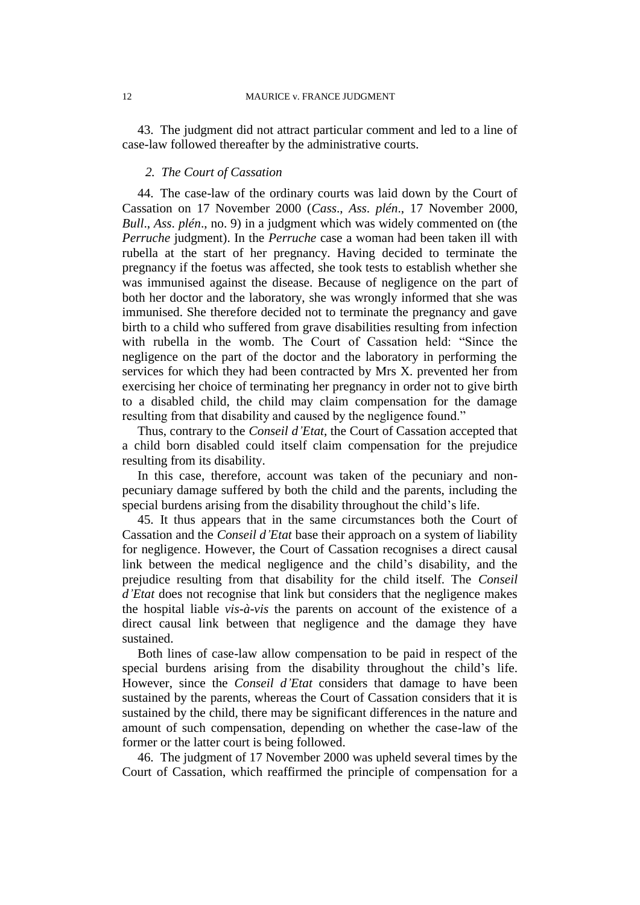43. The judgment did not attract particular comment and led to a line of case-law followed thereafter by the administrative courts.

### *2. The Court of Cassation*

44. The case-law of the ordinary courts was laid down by the Court of Cassation on 17 November 2000 (*Cass*., *Ass*. *plén*., 17 November 2000, *Bull*., *Ass*. *plén*., no. 9) in a judgment which was widely commented on (the *Perruche* judgment). In the *Perruche* case a woman had been taken ill with rubella at the start of her pregnancy. Having decided to terminate the pregnancy if the foetus was affected, she took tests to establish whether she was immunised against the disease. Because of negligence on the part of both her doctor and the laboratory, she was wrongly informed that she was immunised. She therefore decided not to terminate the pregnancy and gave birth to a child who suffered from grave disabilities resulting from infection with rubella in the womb. The Court of Cassation held: "Since the negligence on the part of the doctor and the laboratory in performing the services for which they had been contracted by Mrs X. prevented her from exercising her choice of terminating her pregnancy in order not to give birth to a disabled child, the child may claim compensation for the damage resulting from that disability and caused by the negligence found."

Thus, contrary to the *Conseil d'Etat*, the Court of Cassation accepted that a child born disabled could itself claim compensation for the prejudice resulting from its disability.

In this case, therefore, account was taken of the pecuniary and nonpecuniary damage suffered by both the child and the parents, including the special burdens arising from the disability throughout the child's life.

45. It thus appears that in the same circumstances both the Court of Cassation and the *Conseil d'Etat* base their approach on a system of liability for negligence. However, the Court of Cassation recognises a direct causal link between the medical negligence and the child's disability, and the prejudice resulting from that disability for the child itself. The *Conseil d'Etat* does not recognise that link but considers that the negligence makes the hospital liable *vis-à-vis* the parents on account of the existence of a direct causal link between that negligence and the damage they have sustained.

Both lines of case-law allow compensation to be paid in respect of the special burdens arising from the disability throughout the child's life. However, since the *Conseil d'Etat* considers that damage to have been sustained by the parents, whereas the Court of Cassation considers that it is sustained by the child, there may be significant differences in the nature and amount of such compensation, depending on whether the case-law of the former or the latter court is being followed.

46. The judgment of 17 November 2000 was upheld several times by the Court of Cassation, which reaffirmed the principle of compensation for a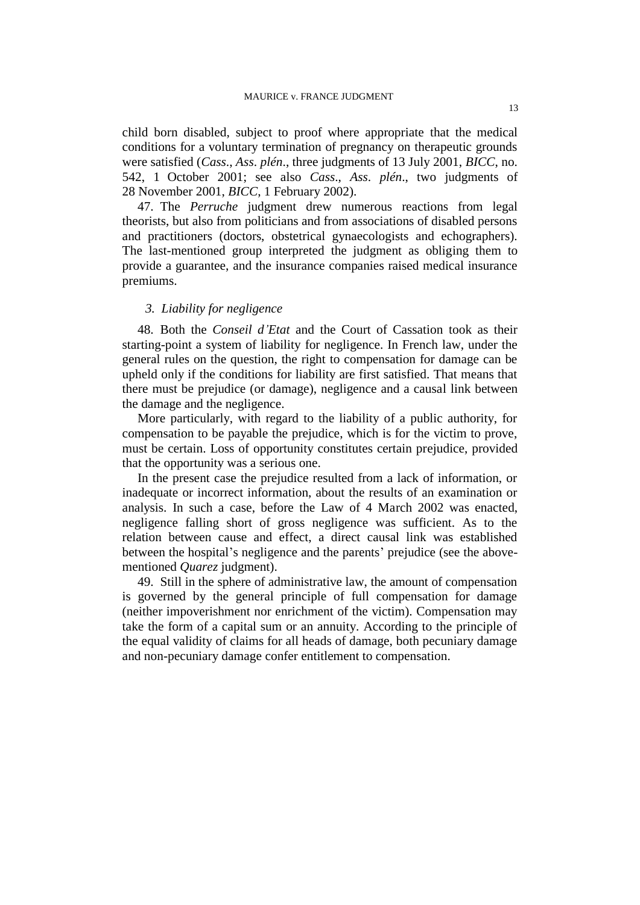child born disabled, subject to proof where appropriate that the medical conditions for a voluntary termination of pregnancy on therapeutic grounds were satisfied (*Cass*., *Ass*. *plén*., three judgments of 13 July 2001, *BICC*, no. 542, 1 October 2001; see also *Cass*., *Ass*. *plén*., two judgments of 28 November 2001, *BICC*, 1 February 2002).

47. The *Perruche* judgment drew numerous reactions from legal theorists, but also from politicians and from associations of disabled persons and practitioners (doctors, obstetrical gynaecologists and echographers). The last-mentioned group interpreted the judgment as obliging them to provide a guarantee, and the insurance companies raised medical insurance premiums.

### *3. Liability for negligence*

48. Both the *Conseil d'Etat* and the Court of Cassation took as their starting-point a system of liability for negligence. In French law, under the general rules on the question, the right to compensation for damage can be upheld only if the conditions for liability are first satisfied. That means that there must be prejudice (or damage), negligence and a causal link between the damage and the negligence.

More particularly, with regard to the liability of a public authority, for compensation to be payable the prejudice, which is for the victim to prove, must be certain. Loss of opportunity constitutes certain prejudice, provided that the opportunity was a serious one.

In the present case the prejudice resulted from a lack of information, or inadequate or incorrect information, about the results of an examination or analysis. In such a case, before the Law of 4 March 2002 was enacted, negligence falling short of gross negligence was sufficient. As to the relation between cause and effect, a direct causal link was established between the hospital's negligence and the parents' prejudice (see the abovementioned *Quarez* judgment).

49. Still in the sphere of administrative law, the amount of compensation is governed by the general principle of full compensation for damage (neither impoverishment nor enrichment of the victim). Compensation may take the form of a capital sum or an annuity. According to the principle of the equal validity of claims for all heads of damage, both pecuniary damage and non-pecuniary damage confer entitlement to compensation.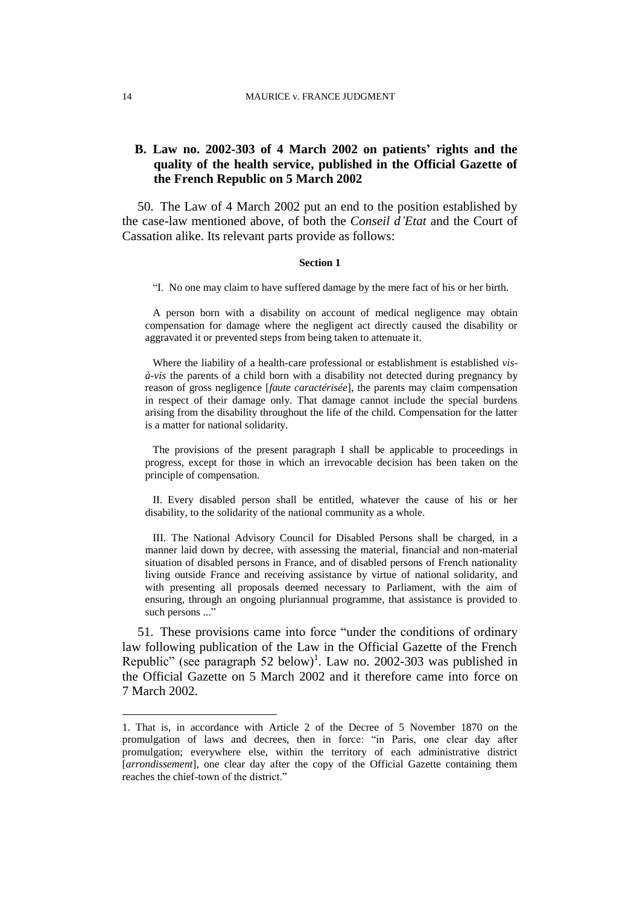## **B. Law no. 2002-303 of 4 March 2002 on patients' rights and the quality of the health service, published in the Official Gazette of the French Republic on 5 March 2002**

50. The Law of 4 March 2002 put an end to the position established by the case-law mentioned above, of both the *Conseil d'Etat* and the Court of Cassation alike. Its relevant parts provide as follows:

#### **Section 1**

"I. No one may claim to have suffered damage by the mere fact of his or her birth.

A person born with a disability on account of medical negligence may obtain compensation for damage where the negligent act directly caused the disability or aggravated it or prevented steps from being taken to attenuate it.

Where the liability of a health-care professional or establishment is established *visà-vis* the parents of a child born with a disability not detected during pregnancy by reason of gross negligence [*faute caractérisée*], the parents may claim compensation in respect of their damage only. That damage cannot include the special burdens arising from the disability throughout the life of the child. Compensation for the latter is a matter for national solidarity.

The provisions of the present paragraph I shall be applicable to proceedings in progress, except for those in which an irrevocable decision has been taken on the principle of compensation.

II. Every disabled person shall be entitled, whatever the cause of his or her disability, to the solidarity of the national community as a whole.

III. The National Advisory Council for Disabled Persons shall be charged, in a manner laid down by decree, with assessing the material, financial and non-material situation of disabled persons in France, and of disabled persons of French nationality living outside France and receiving assistance by virtue of national solidarity, and with presenting all proposals deemed necessary to Parliament, with the aim of ensuring, through an ongoing pluriannual programme, that assistance is provided to such persons ..."

51. These provisions came into force "under the conditions of ordinary law following publication of the Law in the Official Gazette of the French Republic" (see paragraph 52 below)<sup>1</sup>. Law no. 2002-303 was published in the Official Gazette on 5 March 2002 and it therefore came into force on 7 March 2002.

 $\overline{a}$ 

<sup>1.</sup> That is, in accordance with Article 2 of the Decree of 5 November 1870 on the promulgation of laws and decrees, then in force: "in Paris, one clear day after promulgation; everywhere else, within the territory of each administrative district [arrondissement], one clear day after the copy of the Official Gazette containing them reaches the chief-town of the district."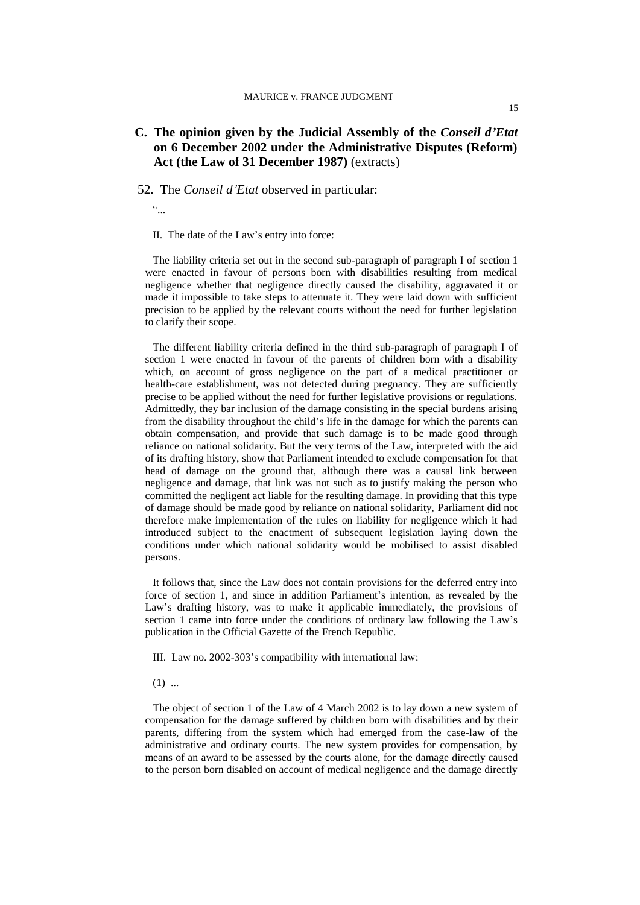#### MAURICE v. FRANCE JUDGMENT

## **C. The opinion given by the Judicial Assembly of the** *Conseil d'Etat* **on 6 December 2002 under the Administrative Disputes (Reform) Act (the Law of 31 December 1987)** (extracts)

#### 52. The *Conseil d'Etat* observed in particular:

 $\overline{\mathcal{L}}$ 

II. The date of the Law's entry into force:

The liability criteria set out in the second sub-paragraph of paragraph I of section 1 were enacted in favour of persons born with disabilities resulting from medical negligence whether that negligence directly caused the disability, aggravated it or made it impossible to take steps to attenuate it. They were laid down with sufficient precision to be applied by the relevant courts without the need for further legislation to clarify their scope.

The different liability criteria defined in the third sub-paragraph of paragraph I of section 1 were enacted in favour of the parents of children born with a disability which, on account of gross negligence on the part of a medical practitioner or health-care establishment, was not detected during pregnancy. They are sufficiently precise to be applied without the need for further legislative provisions or regulations. Admittedly, they bar inclusion of the damage consisting in the special burdens arising from the disability throughout the child's life in the damage for which the parents can obtain compensation, and provide that such damage is to be made good through reliance on national solidarity. But the very terms of the Law, interpreted with the aid of its drafting history, show that Parliament intended to exclude compensation for that head of damage on the ground that, although there was a causal link between negligence and damage, that link was not such as to justify making the person who committed the negligent act liable for the resulting damage. In providing that this type of damage should be made good by reliance on national solidarity, Parliament did not therefore make implementation of the rules on liability for negligence which it had introduced subject to the enactment of subsequent legislation laying down the conditions under which national solidarity would be mobilised to assist disabled persons.

It follows that, since the Law does not contain provisions for the deferred entry into force of section 1, and since in addition Parliament's intention, as revealed by the Law's drafting history, was to make it applicable immediately, the provisions of section 1 came into force under the conditions of ordinary law following the Law's publication in the Official Gazette of the French Republic.

III. Law no. 2002-303's compatibility with international law:

 $(1)$  ...

The object of section 1 of the Law of 4 March 2002 is to lay down a new system of compensation for the damage suffered by children born with disabilities and by their parents, differing from the system which had emerged from the case-law of the administrative and ordinary courts. The new system provides for compensation, by means of an award to be assessed by the courts alone, for the damage directly caused to the person born disabled on account of medical negligence and the damage directly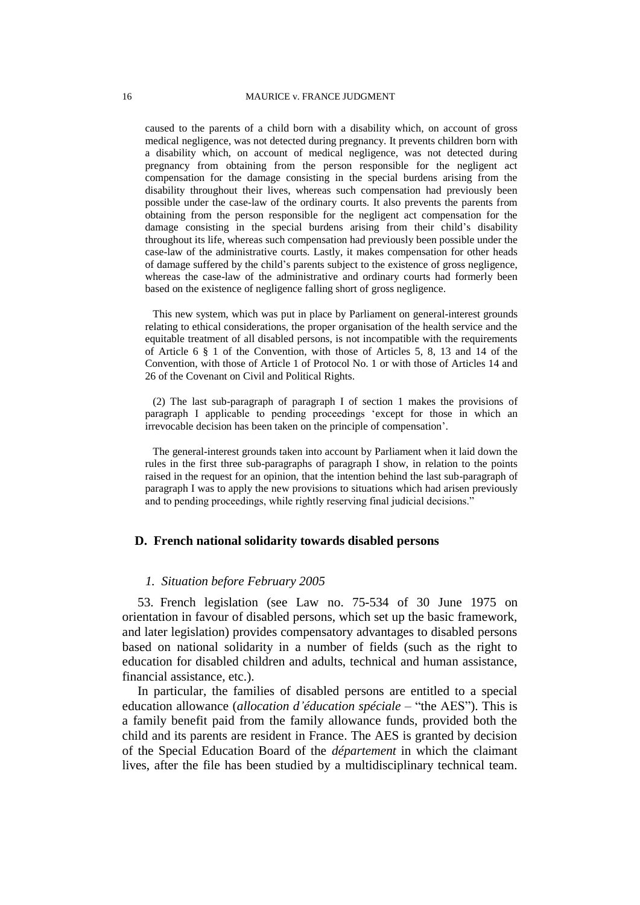caused to the parents of a child born with a disability which, on account of gross medical negligence, was not detected during pregnancy. It prevents children born with a disability which, on account of medical negligence, was not detected during pregnancy from obtaining from the person responsible for the negligent act compensation for the damage consisting in the special burdens arising from the disability throughout their lives, whereas such compensation had previously been possible under the case-law of the ordinary courts. It also prevents the parents from obtaining from the person responsible for the negligent act compensation for the damage consisting in the special burdens arising from their child's disability throughout its life, whereas such compensation had previously been possible under the case-law of the administrative courts. Lastly, it makes compensation for other heads of damage suffered by the child's parents subject to the existence of gross negligence, whereas the case-law of the administrative and ordinary courts had formerly been based on the existence of negligence falling short of gross negligence.

This new system, which was put in place by Parliament on general-interest grounds relating to ethical considerations, the proper organisation of the health service and the equitable treatment of all disabled persons, is not incompatible with the requirements of Article 6 § 1 of the Convention, with those of Articles 5, 8, 13 and 14 of the Convention, with those of Article 1 of Protocol No. 1 or with those of Articles 14 and 26 of the Covenant on Civil and Political Rights.

(2) The last sub-paragraph of paragraph I of section 1 makes the provisions of paragraph I applicable to pending proceedings 'except for those in which an irrevocable decision has been taken on the principle of compensation'.

The general-interest grounds taken into account by Parliament when it laid down the rules in the first three sub-paragraphs of paragraph I show, in relation to the points raised in the request for an opinion, that the intention behind the last sub-paragraph of paragraph I was to apply the new provisions to situations which had arisen previously and to pending proceedings, while rightly reserving final judicial decisions."

#### **D. French national solidarity towards disabled persons**

#### *1. Situation before February 2005*

53. French legislation (see Law no. 75-534 of 30 June 1975 on orientation in favour of disabled persons, which set up the basic framework, and later legislation) provides compensatory advantages to disabled persons based on national solidarity in a number of fields (such as the right to education for disabled children and adults, technical and human assistance, financial assistance, etc.).

In particular, the families of disabled persons are entitled to a special education allowance (*allocation d'éducation spéciale* – "the AES"). This is a family benefit paid from the family allowance funds, provided both the child and its parents are resident in France. The AES is granted by decision of the Special Education Board of the *département* in which the claimant lives, after the file has been studied by a multidisciplinary technical team.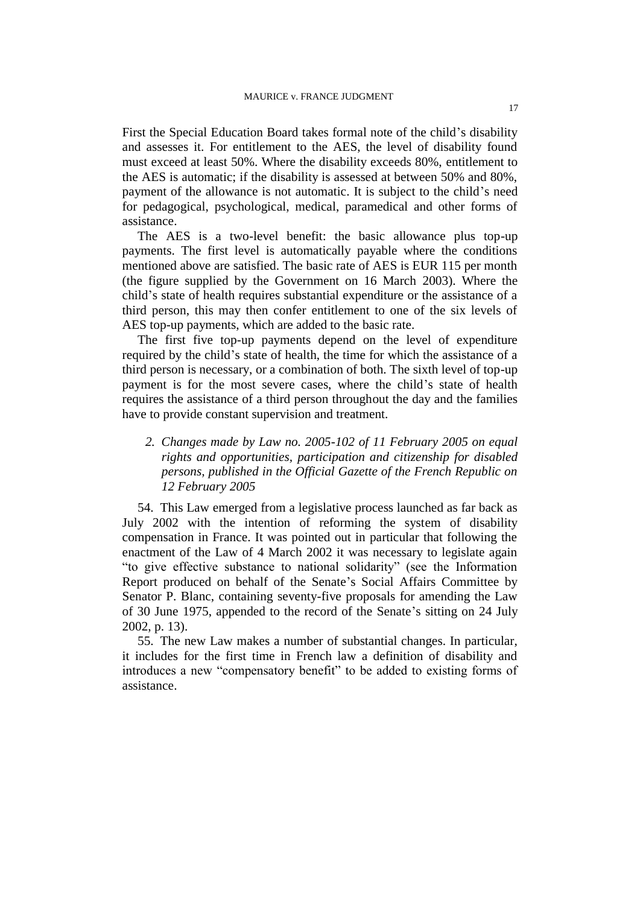First the Special Education Board takes formal note of the child's disability and assesses it. For entitlement to the AES, the level of disability found must exceed at least 50%. Where the disability exceeds 80%, entitlement to the AES is automatic; if the disability is assessed at between 50% and 80%, payment of the allowance is not automatic. It is subject to the child's need for pedagogical, psychological, medical, paramedical and other forms of assistance.

The AES is a two-level benefit: the basic allowance plus top-up payments. The first level is automatically payable where the conditions mentioned above are satisfied. The basic rate of AES is EUR 115 per month (the figure supplied by the Government on 16 March 2003). Where the child's state of health requires substantial expenditure or the assistance of a third person, this may then confer entitlement to one of the six levels of AES top-up payments, which are added to the basic rate.

The first five top-up payments depend on the level of expenditure required by the child's state of health, the time for which the assistance of a third person is necessary, or a combination of both. The sixth level of top-up payment is for the most severe cases, where the child's state of health requires the assistance of a third person throughout the day and the families have to provide constant supervision and treatment.

*2. Changes made by Law no. 2005-102 of 11 February 2005 on equal rights and opportunities, participation and citizenship for disabled persons, published in the Official Gazette of the French Republic on 12 February 2005*

54. This Law emerged from a legislative process launched as far back as July 2002 with the intention of reforming the system of disability compensation in France. It was pointed out in particular that following the enactment of the Law of 4 March 2002 it was necessary to legislate again "to give effective substance to national solidarity" (see the Information Report produced on behalf of the Senate's Social Affairs Committee by Senator P. Blanc, containing seventy-five proposals for amending the Law of 30 June 1975, appended to the record of the Senate's sitting on 24 July 2002, p. 13).

55. The new Law makes a number of substantial changes. In particular, it includes for the first time in French law a definition of disability and introduces a new "compensatory benefit" to be added to existing forms of assistance.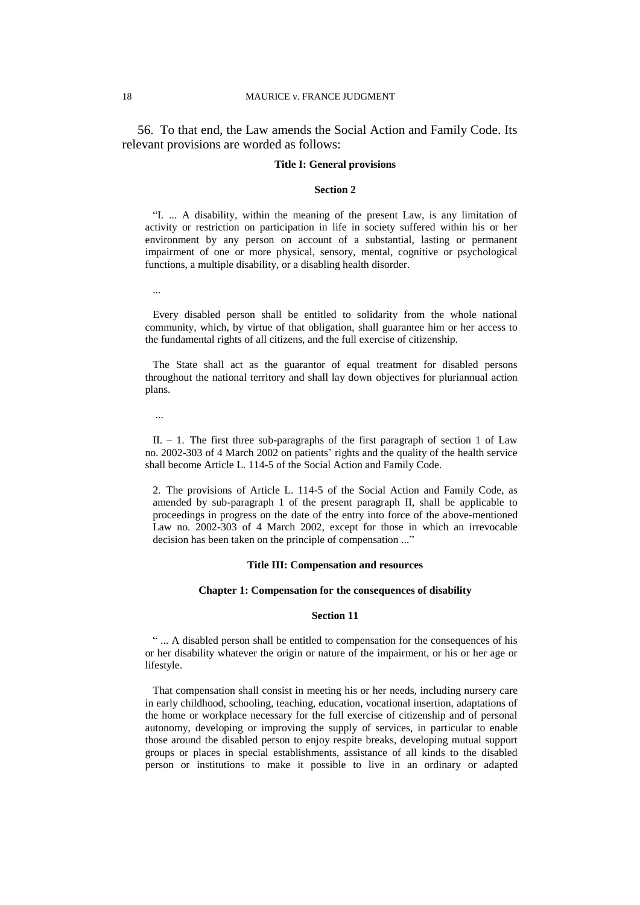56. To that end, the Law amends the Social Action and Family Code. Its relevant provisions are worded as follows:

#### **Title I: General provisions**

#### **Section 2**

"I. ... A disability, within the meaning of the present Law, is any limitation of activity or restriction on participation in life in society suffered within his or her environment by any person on account of a substantial, lasting or permanent impairment of one or more physical, sensory, mental, cognitive or psychological functions, a multiple disability, or a disabling health disorder.

...

Every disabled person shall be entitled to solidarity from the whole national community, which, by virtue of that obligation, shall guarantee him or her access to the fundamental rights of all citizens, and the full exercise of citizenship.

The State shall act as the guarantor of equal treatment for disabled persons throughout the national territory and shall lay down objectives for pluriannual action plans.

...

II.  $-1$ . The first three sub-paragraphs of the first paragraph of section 1 of Law no. 2002-303 of 4 March 2002 on patients' rights and the quality of the health service shall become Article L. 114-5 of the Social Action and Family Code.

2. The provisions of Article L. 114-5 of the Social Action and Family Code, as amended by sub-paragraph 1 of the present paragraph II, shall be applicable to proceedings in progress on the date of the entry into force of the above-mentioned Law no. 2002-303 of 4 March 2002, except for those in which an irrevocable decision has been taken on the principle of compensation ..."

#### **Title III: Compensation and resources**

#### **Chapter 1: Compensation for the consequences of disability**

#### **Section 11**

" ... A disabled person shall be entitled to compensation for the consequences of his or her disability whatever the origin or nature of the impairment, or his or her age or lifestyle.

That compensation shall consist in meeting his or her needs, including nursery care in early childhood, schooling, teaching, education, vocational insertion, adaptations of the home or workplace necessary for the full exercise of citizenship and of personal autonomy, developing or improving the supply of services, in particular to enable those around the disabled person to enjoy respite breaks, developing mutual support groups or places in special establishments, assistance of all kinds to the disabled person or institutions to make it possible to live in an ordinary or adapted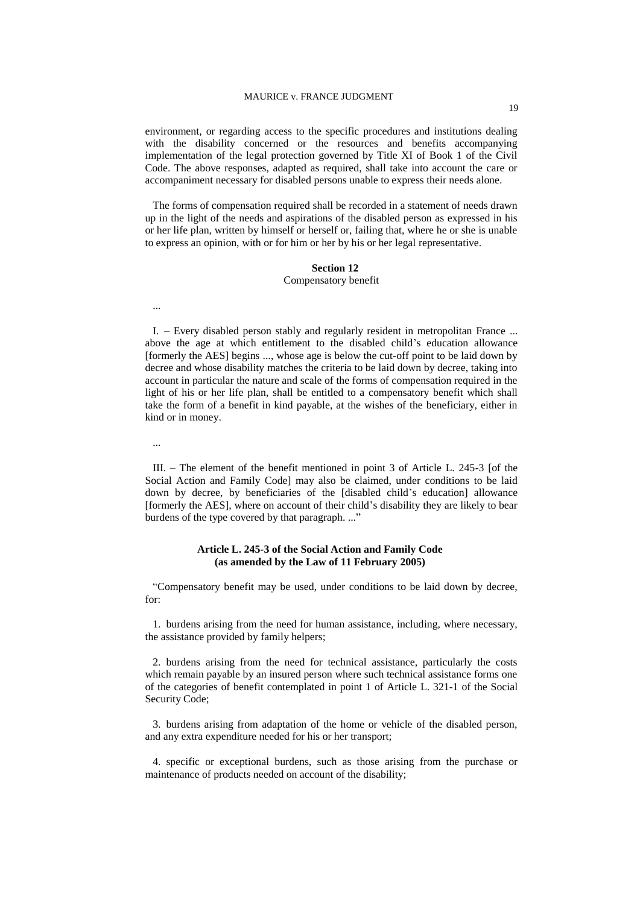#### MAURICE v. FRANCE JUDGMENT

environment, or regarding access to the specific procedures and institutions dealing with the disability concerned or the resources and benefits accompanying implementation of the legal protection governed by Title XI of Book 1 of the Civil Code. The above responses, adapted as required, shall take into account the care or accompaniment necessary for disabled persons unable to express their needs alone.

The forms of compensation required shall be recorded in a statement of needs drawn up in the light of the needs and aspirations of the disabled person as expressed in his or her life plan, written by himself or herself or, failing that, where he or she is unable to express an opinion, with or for him or her by his or her legal representative.

#### **Section 12**

#### Compensatory benefit

I. – Every disabled person stably and regularly resident in metropolitan France ... above the age at which entitlement to the disabled child's education allowance [formerly the AES] begins ..., whose age is below the cut-off point to be laid down by decree and whose disability matches the criteria to be laid down by decree, taking into account in particular the nature and scale of the forms of compensation required in the light of his or her life plan, shall be entitled to a compensatory benefit which shall take the form of a benefit in kind payable, at the wishes of the beneficiary, either in kind or in money.

...

...

III. – The element of the benefit mentioned in point 3 of Article L. 245-3 [of the Social Action and Family Code] may also be claimed, under conditions to be laid down by decree, by beneficiaries of the [disabled child's education] allowance [formerly the AES], where on account of their child's disability they are likely to bear burdens of the type covered by that paragraph...."

#### **Article L. 245-3 of the Social Action and Family Code (as amended by the Law of 11 February 2005)**

"Compensatory benefit may be used, under conditions to be laid down by decree, for:

1. burdens arising from the need for human assistance, including, where necessary, the assistance provided by family helpers;

2. burdens arising from the need for technical assistance, particularly the costs which remain payable by an insured person where such technical assistance forms one of the categories of benefit contemplated in point 1 of Article L. 321-1 of the Social Security Code;

3. burdens arising from adaptation of the home or vehicle of the disabled person, and any extra expenditure needed for his or her transport;

4. specific or exceptional burdens, such as those arising from the purchase or maintenance of products needed on account of the disability;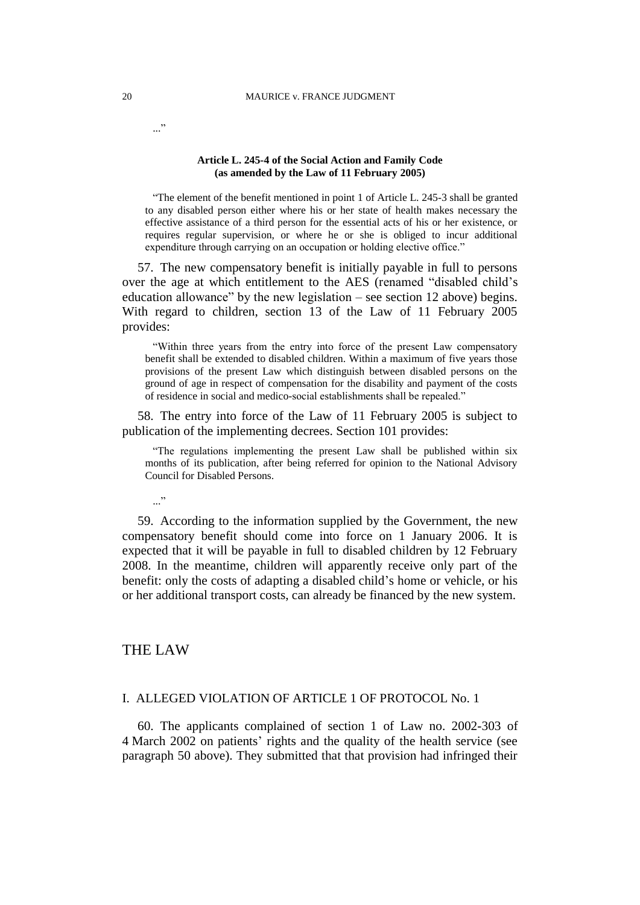#### **Article L. 245-4 of the Social Action and Family Code (as amended by the Law of 11 February 2005)**

"The element of the benefit mentioned in point 1 of Article L. 245-3 shall be granted to any disabled person either where his or her state of health makes necessary the effective assistance of a third person for the essential acts of his or her existence, or requires regular supervision, or where he or she is obliged to incur additional expenditure through carrying on an occupation or holding elective office."

57. The new compensatory benefit is initially payable in full to persons over the age at which entitlement to the AES (renamed "disabled child's education allowance" by the new legislation – see section 12 above) begins. With regard to children, section 13 of the Law of 11 February 2005 provides:

"Within three years from the entry into force of the present Law compensatory benefit shall be extended to disabled children. Within a maximum of five years those provisions of the present Law which distinguish between disabled persons on the ground of age in respect of compensation for the disability and payment of the costs of residence in social and medico-social establishments shall be repealed."

58. The entry into force of the Law of 11 February 2005 is subject to publication of the implementing decrees. Section 101 provides:

"The regulations implementing the present Law shall be published within six months of its publication, after being referred for opinion to the National Advisory Council for Disabled Persons.

..."

59. According to the information supplied by the Government, the new compensatory benefit should come into force on 1 January 2006. It is expected that it will be payable in full to disabled children by 12 February 2008. In the meantime, children will apparently receive only part of the benefit: only the costs of adapting a disabled child's home or vehicle, or his or her additional transport costs, can already be financed by the new system.

## THE LAW

#### I. ALLEGED VIOLATION OF ARTICLE 1 OF PROTOCOL No. 1

60. The applicants complained of section 1 of Law no. 2002-303 of 4 March 2002 on patients' rights and the quality of the health service (see paragraph 50 above). They submitted that that provision had infringed their

..."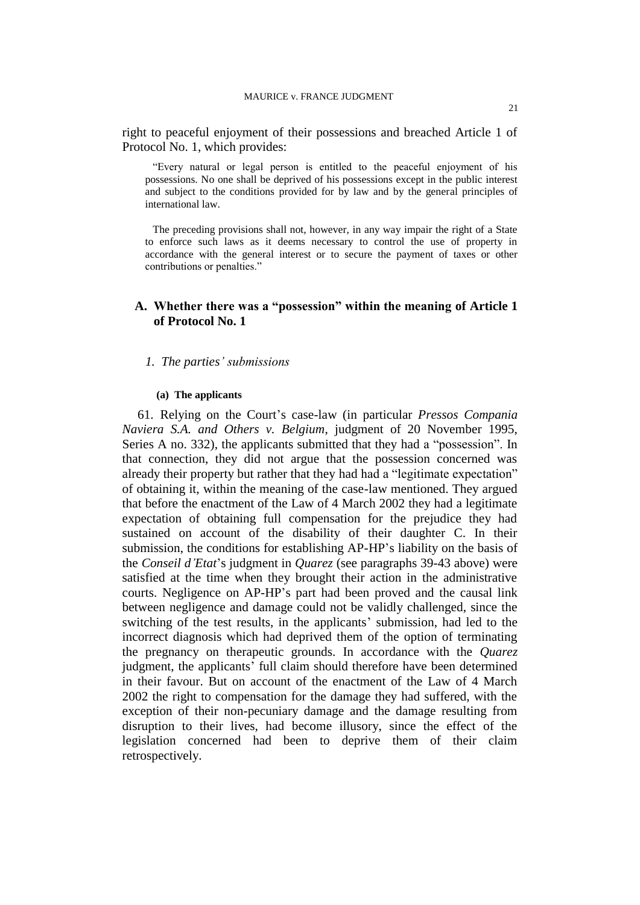right to peaceful enjoyment of their possessions and breached Article 1 of Protocol No. 1, which provides:

"Every natural or legal person is entitled to the peaceful enjoyment of his possessions. No one shall be deprived of his possessions except in the public interest and subject to the conditions provided for by law and by the general principles of international law.

The preceding provisions shall not, however, in any way impair the right of a State to enforce such laws as it deems necessary to control the use of property in accordance with the general interest or to secure the payment of taxes or other contributions or penalties."

## **A. Whether there was a "possession" within the meaning of Article 1 of Protocol No. 1**

#### *1. The parties' submissions*

#### **(a) The applicants**

61. Relying on the Court's case-law (in particular *Pressos Compania Naviera S.A. and Others v. Belgium*, judgment of 20 November 1995, Series A no. 332), the applicants submitted that they had a "possession". In that connection, they did not argue that the possession concerned was already their property but rather that they had had a "legitimate expectation" of obtaining it, within the meaning of the case-law mentioned. They argued that before the enactment of the Law of 4 March 2002 they had a legitimate expectation of obtaining full compensation for the prejudice they had sustained on account of the disability of their daughter C. In their submission, the conditions for establishing AP-HP's liability on the basis of the *Conseil d'Etat*'s judgment in *Quarez* (see paragraphs 39-43 above) were satisfied at the time when they brought their action in the administrative courts. Negligence on AP-HP's part had been proved and the causal link between negligence and damage could not be validly challenged, since the switching of the test results, in the applicants' submission, had led to the incorrect diagnosis which had deprived them of the option of terminating the pregnancy on therapeutic grounds. In accordance with the *Quarez* judgment, the applicants' full claim should therefore have been determined in their favour. But on account of the enactment of the Law of 4 March 2002 the right to compensation for the damage they had suffered, with the exception of their non-pecuniary damage and the damage resulting from disruption to their lives, had become illusory, since the effect of the legislation concerned had been to deprive them of their claim retrospectively.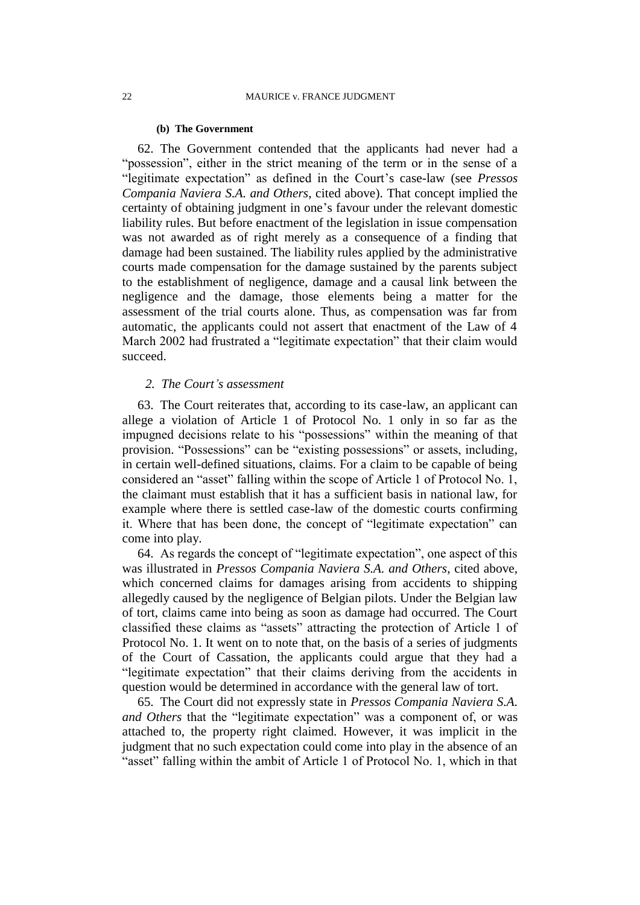#### **(b) The Government**

62. The Government contended that the applicants had never had a "possession", either in the strict meaning of the term or in the sense of a "legitimate expectation" as defined in the Court's case-law (see *Pressos Compania Naviera S.A. and Others*, cited above). That concept implied the certainty of obtaining judgment in one's favour under the relevant domestic liability rules. But before enactment of the legislation in issue compensation was not awarded as of right merely as a consequence of a finding that damage had been sustained. The liability rules applied by the administrative courts made compensation for the damage sustained by the parents subject to the establishment of negligence, damage and a causal link between the negligence and the damage, those elements being a matter for the assessment of the trial courts alone. Thus, as compensation was far from automatic, the applicants could not assert that enactment of the Law of 4 March 2002 had frustrated a "legitimate expectation" that their claim would succeed.

### *2. The Court's assessment*

63. The Court reiterates that, according to its case-law, an applicant can allege a violation of Article 1 of Protocol No. 1 only in so far as the impugned decisions relate to his "possessions" within the meaning of that provision. "Possessions" can be "existing possessions" or assets, including, in certain well-defined situations, claims. For a claim to be capable of being considered an "asset" falling within the scope of Article 1 of Protocol No. 1, the claimant must establish that it has a sufficient basis in national law, for example where there is settled case-law of the domestic courts confirming it. Where that has been done, the concept of "legitimate expectation" can come into play.

64. As regards the concept of "legitimate expectation", one aspect of this was illustrated in *Pressos Compania Naviera S.A. and Others*, cited above, which concerned claims for damages arising from accidents to shipping allegedly caused by the negligence of Belgian pilots. Under the Belgian law of tort, claims came into being as soon as damage had occurred. The Court classified these claims as "assets" attracting the protection of Article 1 of Protocol No. 1. It went on to note that, on the basis of a series of judgments of the Court of Cassation, the applicants could argue that they had a "legitimate expectation" that their claims deriving from the accidents in question would be determined in accordance with the general law of tort.

65. The Court did not expressly state in *Pressos Compania Naviera S.A. and Others* that the "legitimate expectation" was a component of, or was attached to, the property right claimed. However, it was implicit in the judgment that no such expectation could come into play in the absence of an "asset" falling within the ambit of Article 1 of Protocol No. 1, which in that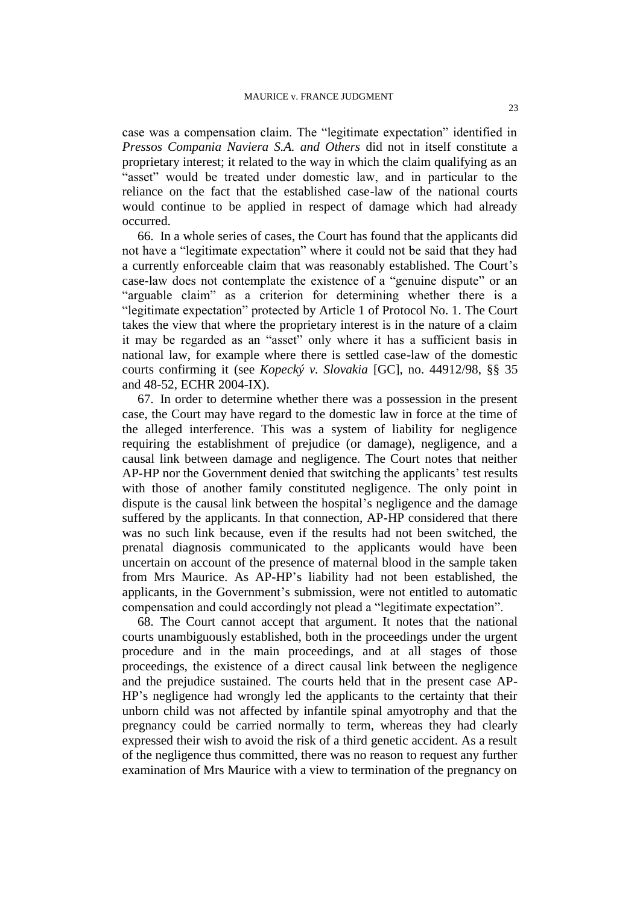case was a compensation claim. The "legitimate expectation" identified in *Pressos Compania Naviera S.A. and Others* did not in itself constitute a proprietary interest; it related to the way in which the claim qualifying as an "asset" would be treated under domestic law, and in particular to the reliance on the fact that the established case-law of the national courts would continue to be applied in respect of damage which had already occurred.

66. In a whole series of cases, the Court has found that the applicants did not have a "legitimate expectation" where it could not be said that they had a currently enforceable claim that was reasonably established. The Court's case-law does not contemplate the existence of a "genuine dispute" or an "arguable claim" as a criterion for determining whether there is a "legitimate expectation" protected by Article 1 of Protocol No. 1. The Court takes the view that where the proprietary interest is in the nature of a claim it may be regarded as an "asset" only where it has a sufficient basis in national law, for example where there is settled case-law of the domestic courts confirming it (see *Kopecký v. Slovakia* [GC], no. 44912/98, §§ 35 and 48-52, ECHR 2004-IX).

67. In order to determine whether there was a possession in the present case, the Court may have regard to the domestic law in force at the time of the alleged interference. This was a system of liability for negligence requiring the establishment of prejudice (or damage), negligence, and a causal link between damage and negligence. The Court notes that neither AP-HP nor the Government denied that switching the applicants' test results with those of another family constituted negligence. The only point in dispute is the causal link between the hospital's negligence and the damage suffered by the applicants. In that connection, AP-HP considered that there was no such link because, even if the results had not been switched, the prenatal diagnosis communicated to the applicants would have been uncertain on account of the presence of maternal blood in the sample taken from Mrs Maurice. As AP-HP's liability had not been established, the applicants, in the Government's submission, were not entitled to automatic compensation and could accordingly not plead a "legitimate expectation".

68. The Court cannot accept that argument. It notes that the national courts unambiguously established, both in the proceedings under the urgent procedure and in the main proceedings, and at all stages of those proceedings, the existence of a direct causal link between the negligence and the prejudice sustained. The courts held that in the present case AP-HP's negligence had wrongly led the applicants to the certainty that their unborn child was not affected by infantile spinal amyotrophy and that the pregnancy could be carried normally to term, whereas they had clearly expressed their wish to avoid the risk of a third genetic accident. As a result of the negligence thus committed, there was no reason to request any further examination of Mrs Maurice with a view to termination of the pregnancy on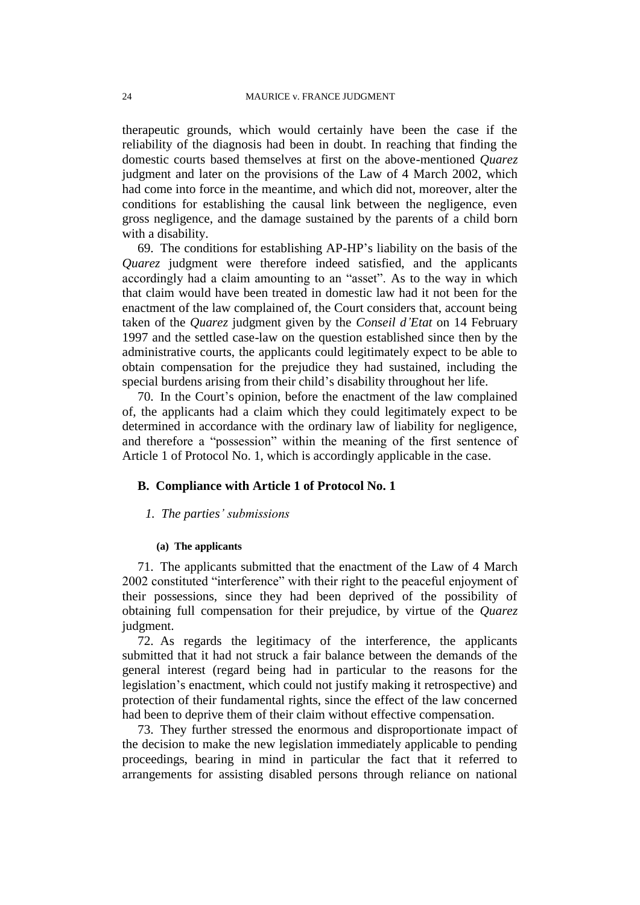therapeutic grounds, which would certainly have been the case if the reliability of the diagnosis had been in doubt. In reaching that finding the domestic courts based themselves at first on the above-mentioned *Quarez* judgment and later on the provisions of the Law of 4 March 2002, which had come into force in the meantime, and which did not, moreover, alter the conditions for establishing the causal link between the negligence, even gross negligence, and the damage sustained by the parents of a child born with a disability.

69. The conditions for establishing AP-HP's liability on the basis of the *Quarez* judgment were therefore indeed satisfied, and the applicants accordingly had a claim amounting to an "asset". As to the way in which that claim would have been treated in domestic law had it not been for the enactment of the law complained of, the Court considers that, account being taken of the *Quarez* judgment given by the *Conseil d'Etat* on 14 February 1997 and the settled case-law on the question established since then by the administrative courts, the applicants could legitimately expect to be able to obtain compensation for the prejudice they had sustained, including the special burdens arising from their child's disability throughout her life.

70. In the Court's opinion, before the enactment of the law complained of, the applicants had a claim which they could legitimately expect to be determined in accordance with the ordinary law of liability for negligence, and therefore a "possession" within the meaning of the first sentence of Article 1 of Protocol No. 1, which is accordingly applicable in the case.

#### **B. Compliance with Article 1 of Protocol No. 1**

#### *1. The parties' submissions*

#### **(a) The applicants**

71. The applicants submitted that the enactment of the Law of 4 March 2002 constituted "interference" with their right to the peaceful enjoyment of their possessions, since they had been deprived of the possibility of obtaining full compensation for their prejudice, by virtue of the *Quarez* judgment.

72. As regards the legitimacy of the interference, the applicants submitted that it had not struck a fair balance between the demands of the general interest (regard being had in particular to the reasons for the legislation's enactment, which could not justify making it retrospective) and protection of their fundamental rights, since the effect of the law concerned had been to deprive them of their claim without effective compensation.

73. They further stressed the enormous and disproportionate impact of the decision to make the new legislation immediately applicable to pending proceedings, bearing in mind in particular the fact that it referred to arrangements for assisting disabled persons through reliance on national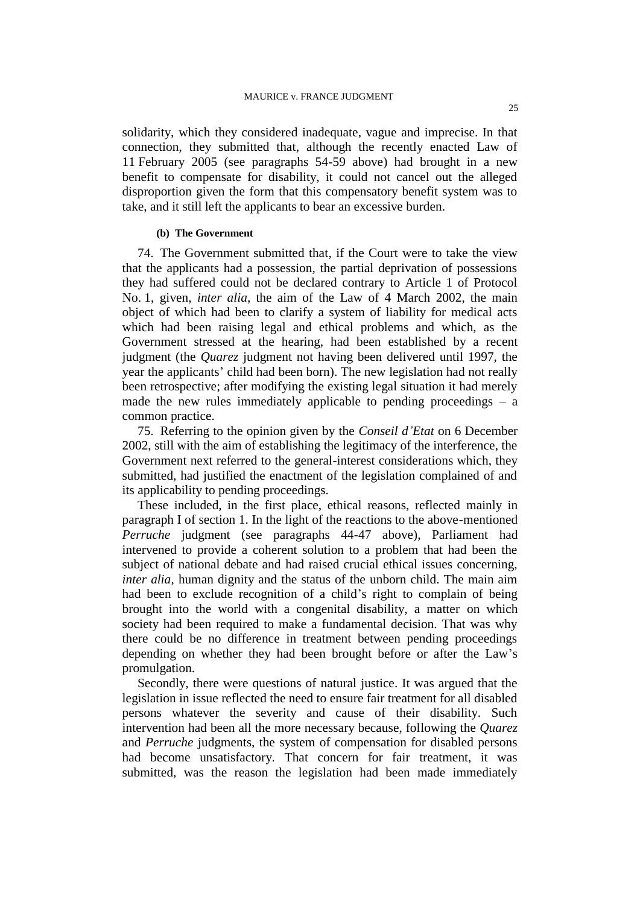solidarity, which they considered inadequate, vague and imprecise. In that connection, they submitted that, although the recently enacted Law of 11 February 2005 (see paragraphs 54-59 above) had brought in a new benefit to compensate for disability, it could not cancel out the alleged disproportion given the form that this compensatory benefit system was to take, and it still left the applicants to bear an excessive burden.

### **(b) The Government**

74. The Government submitted that, if the Court were to take the view that the applicants had a possession, the partial deprivation of possessions they had suffered could not be declared contrary to Article 1 of Protocol No. 1, given, *inter alia*, the aim of the Law of 4 March 2002, the main object of which had been to clarify a system of liability for medical acts which had been raising legal and ethical problems and which, as the Government stressed at the hearing, had been established by a recent judgment (the *Quarez* judgment not having been delivered until 1997, the year the applicants' child had been born). The new legislation had not really been retrospective; after modifying the existing legal situation it had merely made the new rules immediately applicable to pending proceedings  $-$  a common practice.

75. Referring to the opinion given by the *Conseil d'Etat* on 6 December 2002, still with the aim of establishing the legitimacy of the interference, the Government next referred to the general-interest considerations which, they submitted, had justified the enactment of the legislation complained of and its applicability to pending proceedings.

These included, in the first place, ethical reasons, reflected mainly in paragraph I of section 1. In the light of the reactions to the above-mentioned *Perruche* judgment (see paragraphs 44-47 above), Parliament had intervened to provide a coherent solution to a problem that had been the subject of national debate and had raised crucial ethical issues concerning, *inter alia*, human dignity and the status of the unborn child. The main aim had been to exclude recognition of a child's right to complain of being brought into the world with a congenital disability, a matter on which society had been required to make a fundamental decision. That was why there could be no difference in treatment between pending proceedings depending on whether they had been brought before or after the Law's promulgation.

Secondly, there were questions of natural justice. It was argued that the legislation in issue reflected the need to ensure fair treatment for all disabled persons whatever the severity and cause of their disability. Such intervention had been all the more necessary because, following the *Quarez*  and *Perruche* judgments, the system of compensation for disabled persons had become unsatisfactory. That concern for fair treatment, it was submitted, was the reason the legislation had been made immediately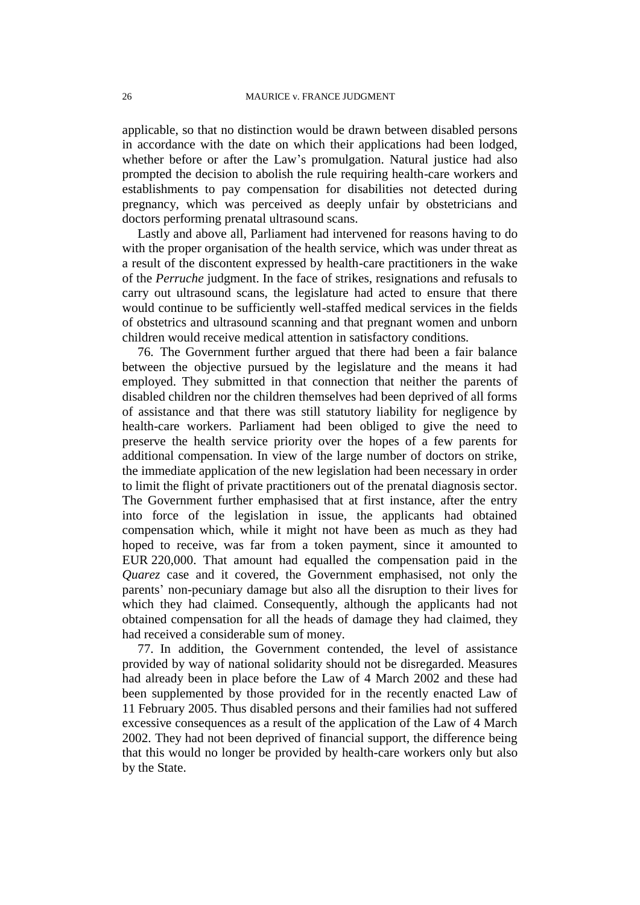applicable, so that no distinction would be drawn between disabled persons in accordance with the date on which their applications had been lodged, whether before or after the Law's promulgation. Natural justice had also prompted the decision to abolish the rule requiring health-care workers and establishments to pay compensation for disabilities not detected during pregnancy, which was perceived as deeply unfair by obstetricians and doctors performing prenatal ultrasound scans.

Lastly and above all, Parliament had intervened for reasons having to do with the proper organisation of the health service, which was under threat as a result of the discontent expressed by health-care practitioners in the wake of the *Perruche* judgment. In the face of strikes, resignations and refusals to carry out ultrasound scans, the legislature had acted to ensure that there would continue to be sufficiently well-staffed medical services in the fields of obstetrics and ultrasound scanning and that pregnant women and unborn children would receive medical attention in satisfactory conditions.

76. The Government further argued that there had been a fair balance between the objective pursued by the legislature and the means it had employed. They submitted in that connection that neither the parents of disabled children nor the children themselves had been deprived of all forms of assistance and that there was still statutory liability for negligence by health-care workers. Parliament had been obliged to give the need to preserve the health service priority over the hopes of a few parents for additional compensation. In view of the large number of doctors on strike, the immediate application of the new legislation had been necessary in order to limit the flight of private practitioners out of the prenatal diagnosis sector. The Government further emphasised that at first instance, after the entry into force of the legislation in issue, the applicants had obtained compensation which, while it might not have been as much as they had hoped to receive, was far from a token payment, since it amounted to EUR 220,000. That amount had equalled the compensation paid in the *Quarez* case and it covered, the Government emphasised, not only the parents' non-pecuniary damage but also all the disruption to their lives for which they had claimed. Consequently, although the applicants had not obtained compensation for all the heads of damage they had claimed, they had received a considerable sum of money.

77. In addition, the Government contended, the level of assistance provided by way of national solidarity should not be disregarded. Measures had already been in place before the Law of 4 March 2002 and these had been supplemented by those provided for in the recently enacted Law of 11 February 2005. Thus disabled persons and their families had not suffered excessive consequences as a result of the application of the Law of 4 March 2002. They had not been deprived of financial support, the difference being that this would no longer be provided by health-care workers only but also by the State.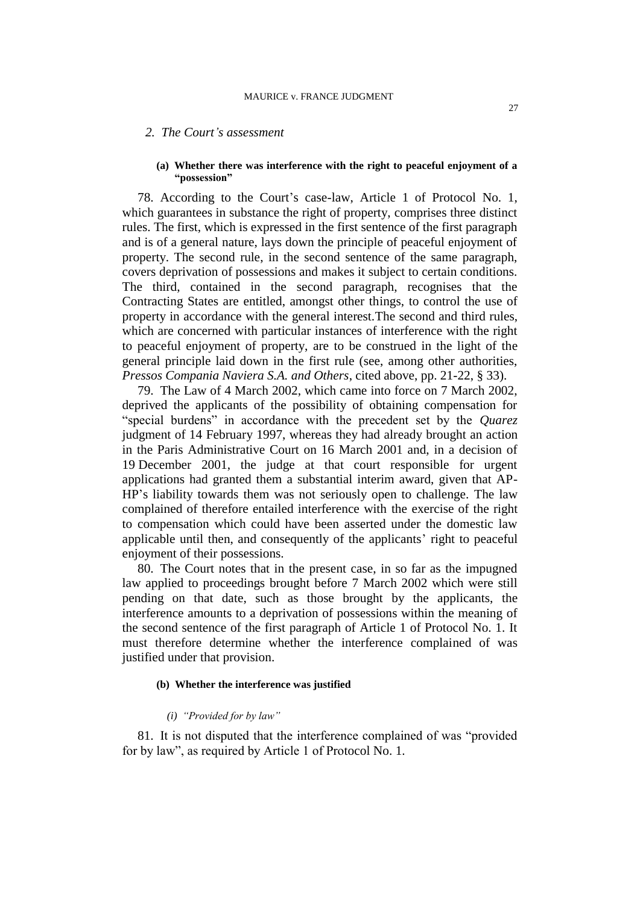#### *2. The Court's assessment*

#### **(a) Whether there was interference with the right to peaceful enjoyment of a "possession"**

78. According to the Court's case-law, Article 1 of Protocol No. 1, which guarantees in substance the right of property, comprises three distinct rules. The first, which is expressed in the first sentence of the first paragraph and is of a general nature, lays down the principle of peaceful enjoyment of property. The second rule, in the second sentence of the same paragraph, covers deprivation of possessions and makes it subject to certain conditions. The third, contained in the second paragraph, recognises that the Contracting States are entitled, amongst other things, to control the use of property in accordance with the general interest.The second and third rules, which are concerned with particular instances of interference with the right to peaceful enjoyment of property, are to be construed in the light of the general principle laid down in the first rule (see, among other authorities, *Pressos Compania Naviera S.A. and Others*, cited above, pp. 21-22, § 33).

79. The Law of 4 March 2002, which came into force on 7 March 2002, deprived the applicants of the possibility of obtaining compensation for "special burdens" in accordance with the precedent set by the *Quarez* judgment of 14 February 1997, whereas they had already brought an action in the Paris Administrative Court on 16 March 2001 and, in a decision of 19 December 2001, the judge at that court responsible for urgent applications had granted them a substantial interim award, given that AP-HP's liability towards them was not seriously open to challenge. The law complained of therefore entailed interference with the exercise of the right to compensation which could have been asserted under the domestic law applicable until then, and consequently of the applicants' right to peaceful enjoyment of their possessions.

80. The Court notes that in the present case, in so far as the impugned law applied to proceedings brought before 7 March 2002 which were still pending on that date, such as those brought by the applicants, the interference amounts to a deprivation of possessions within the meaning of the second sentence of the first paragraph of Article 1 of Protocol No. 1. It must therefore determine whether the interference complained of was justified under that provision.

#### **(b) Whether the interference was justified**

#### *(i) "Provided for by law"*

81. It is not disputed that the interference complained of was "provided for by law", as required by Article 1 of Protocol No. 1.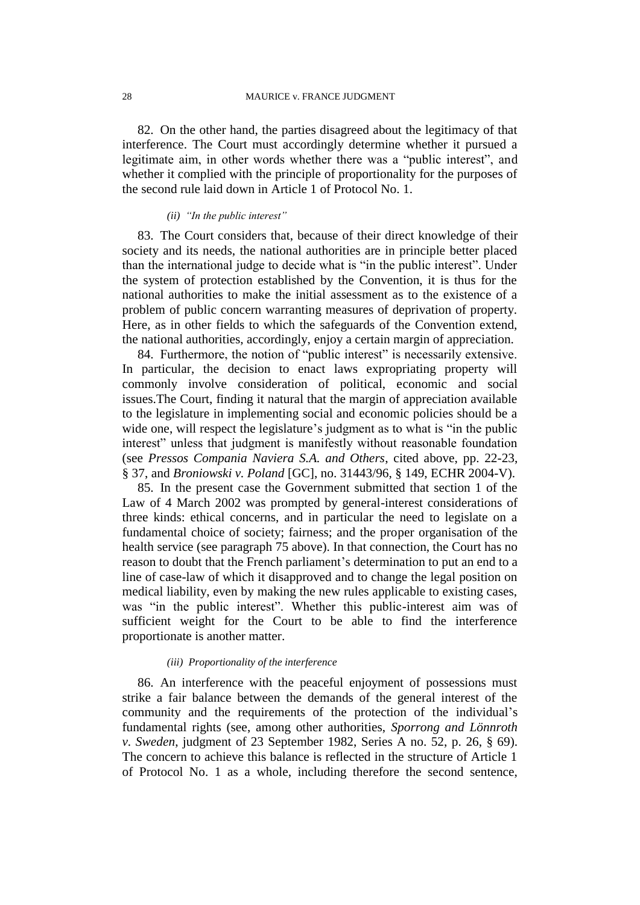82. On the other hand, the parties disagreed about the legitimacy of that interference. The Court must accordingly determine whether it pursued a legitimate aim, in other words whether there was a "public interest", and whether it complied with the principle of proportionality for the purposes of the second rule laid down in Article 1 of Protocol No. 1.

#### *(ii) "In the public interest"*

83. The Court considers that, because of their direct knowledge of their society and its needs, the national authorities are in principle better placed than the international judge to decide what is "in the public interest". Under the system of protection established by the Convention, it is thus for the national authorities to make the initial assessment as to the existence of a problem of public concern warranting measures of deprivation of property. Here, as in other fields to which the safeguards of the Convention extend, the national authorities, accordingly, enjoy a certain margin of appreciation.

84. Furthermore, the notion of "public interest" is necessarily extensive. In particular, the decision to enact laws expropriating property will commonly involve consideration of political, economic and social issues.The Court, finding it natural that the margin of appreciation available to the legislature in implementing social and economic policies should be a wide one, will respect the legislature's judgment as to what is "in the public interest" unless that judgment is manifestly without reasonable foundation (see *Pressos Compania Naviera S.A. and Others*, cited above, pp. 22-23, § 37, and *Broniowski v. Poland* [GC], no. 31443/96, § 149, ECHR 2004-V).

85. In the present case the Government submitted that section 1 of the Law of 4 March 2002 was prompted by general-interest considerations of three kinds: ethical concerns, and in particular the need to legislate on a fundamental choice of society; fairness; and the proper organisation of the health service (see paragraph 75 above). In that connection, the Court has no reason to doubt that the French parliament's determination to put an end to a line of case-law of which it disapproved and to change the legal position on medical liability, even by making the new rules applicable to existing cases, was "in the public interest". Whether this public-interest aim was of sufficient weight for the Court to be able to find the interference proportionate is another matter.

#### *(iii) Proportionality of the interference*

86. An interference with the peaceful enjoyment of possessions must strike a fair balance between the demands of the general interest of the community and the requirements of the protection of the individual's fundamental rights (see, among other authorities, *Sporrong and Lönnroth v. Sweden*, judgment of 23 September 1982, Series A no. 52, p. 26, § 69). The concern to achieve this balance is reflected in the structure of Article 1 of Protocol No. 1 as a whole, including therefore the second sentence,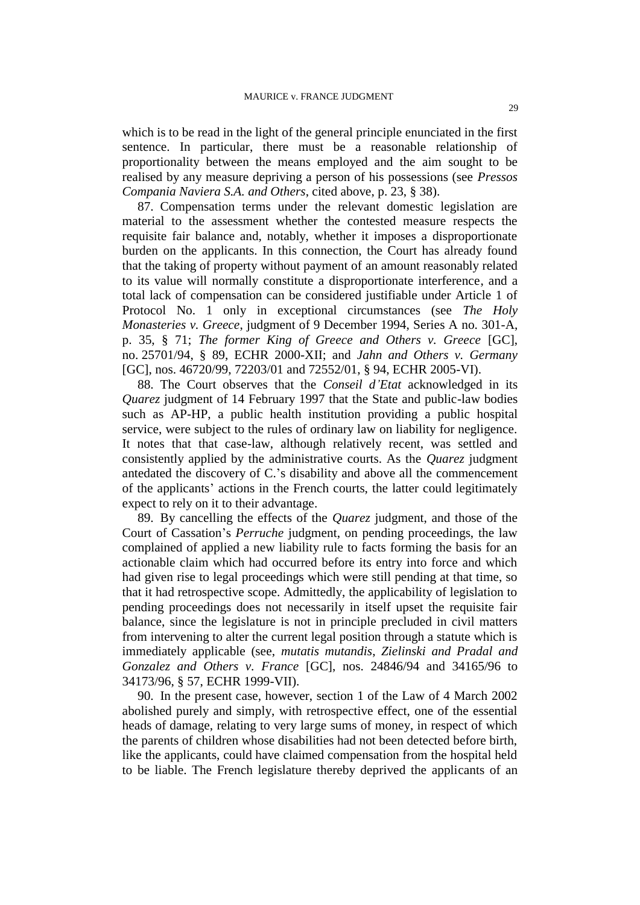which is to be read in the light of the general principle enunciated in the first sentence. In particular, there must be a reasonable relationship of proportionality between the means employed and the aim sought to be realised by any measure depriving a person of his possessions (see *Pressos Compania Naviera S.A. and Others*, cited above, p. 23, § 38).

87. Compensation terms under the relevant domestic legislation are material to the assessment whether the contested measure respects the requisite fair balance and, notably, whether it imposes a disproportionate burden on the applicants. In this connection, the Court has already found that the taking of property without payment of an amount reasonably related to its value will normally constitute a disproportionate interference, and a total lack of compensation can be considered justifiable under Article 1 of Protocol No. 1 only in exceptional circumstances (see *The Holy Monasteries v. Greece*, judgment of 9 December 1994, Series A no. 301-A, p. 35, § 71; *The former King of Greece and Others v. Greece* [GC], no. 25701/94, § 89, ECHR 2000-XII; and *Jahn and Others v. Germany* [GC], nos. 46720/99, 72203/01 and 72552/01, § 94, ECHR 2005-VI).

88. The Court observes that the *Conseil d'Etat* acknowledged in its *Quarez* judgment of 14 February 1997 that the State and public-law bodies such as AP-HP, a public health institution providing a public hospital service, were subject to the rules of ordinary law on liability for negligence. It notes that that case-law, although relatively recent, was settled and consistently applied by the administrative courts. As the *Quarez* judgment antedated the discovery of C.'s disability and above all the commencement of the applicants' actions in the French courts, the latter could legitimately expect to rely on it to their advantage.

89. By cancelling the effects of the *Quarez* judgment, and those of the Court of Cassation's *Perruche* judgment, on pending proceedings, the law complained of applied a new liability rule to facts forming the basis for an actionable claim which had occurred before its entry into force and which had given rise to legal proceedings which were still pending at that time, so that it had retrospective scope. Admittedly, the applicability of legislation to pending proceedings does not necessarily in itself upset the requisite fair balance, since the legislature is not in principle precluded in civil matters from intervening to alter the current legal position through a statute which is immediately applicable (see, *mutatis mutandis*, *Zielinski and Pradal and Gonzalez and Others v. France* [GC], nos. 24846/94 and 34165/96 to 34173/96, § 57, ECHR 1999-VII).

90. In the present case, however, section 1 of the Law of 4 March 2002 abolished purely and simply, with retrospective effect, one of the essential heads of damage, relating to very large sums of money, in respect of which the parents of children whose disabilities had not been detected before birth, like the applicants, could have claimed compensation from the hospital held to be liable. The French legislature thereby deprived the applicants of an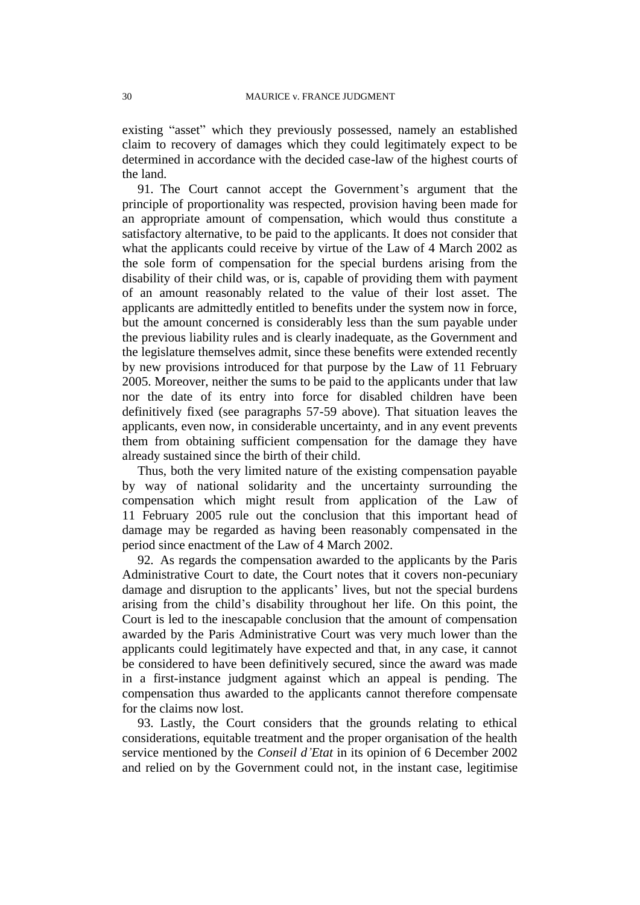existing "asset" which they previously possessed, namely an established claim to recovery of damages which they could legitimately expect to be determined in accordance with the decided case-law of the highest courts of the land.

91. The Court cannot accept the Government's argument that the principle of proportionality was respected, provision having been made for an appropriate amount of compensation, which would thus constitute a satisfactory alternative, to be paid to the applicants. It does not consider that what the applicants could receive by virtue of the Law of 4 March 2002 as the sole form of compensation for the special burdens arising from the disability of their child was, or is, capable of providing them with payment of an amount reasonably related to the value of their lost asset. The applicants are admittedly entitled to benefits under the system now in force, but the amount concerned is considerably less than the sum payable under the previous liability rules and is clearly inadequate, as the Government and the legislature themselves admit, since these benefits were extended recently by new provisions introduced for that purpose by the Law of 11 February 2005. Moreover, neither the sums to be paid to the applicants under that law nor the date of its entry into force for disabled children have been definitively fixed (see paragraphs 57-59 above). That situation leaves the applicants, even now, in considerable uncertainty, and in any event prevents them from obtaining sufficient compensation for the damage they have already sustained since the birth of their child.

Thus, both the very limited nature of the existing compensation payable by way of national solidarity and the uncertainty surrounding the compensation which might result from application of the Law of 11 February 2005 rule out the conclusion that this important head of damage may be regarded as having been reasonably compensated in the period since enactment of the Law of 4 March 2002.

92. As regards the compensation awarded to the applicants by the Paris Administrative Court to date, the Court notes that it covers non-pecuniary damage and disruption to the applicants' lives, but not the special burdens arising from the child's disability throughout her life. On this point, the Court is led to the inescapable conclusion that the amount of compensation awarded by the Paris Administrative Court was very much lower than the applicants could legitimately have expected and that, in any case, it cannot be considered to have been definitively secured, since the award was made in a first-instance judgment against which an appeal is pending. The compensation thus awarded to the applicants cannot therefore compensate for the claims now lost.

93. Lastly, the Court considers that the grounds relating to ethical considerations, equitable treatment and the proper organisation of the health service mentioned by the *Conseil d'Etat* in its opinion of 6 December 2002 and relied on by the Government could not, in the instant case, legitimise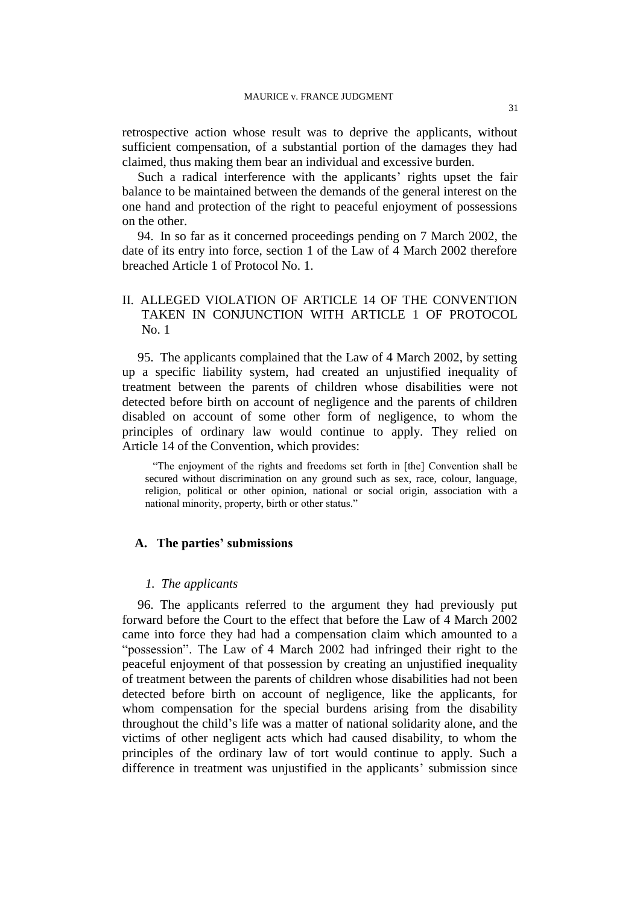retrospective action whose result was to deprive the applicants, without sufficient compensation, of a substantial portion of the damages they had claimed, thus making them bear an individual and excessive burden.

Such a radical interference with the applicants' rights upset the fair balance to be maintained between the demands of the general interest on the one hand and protection of the right to peaceful enjoyment of possessions on the other.

94. In so far as it concerned proceedings pending on 7 March 2002, the date of its entry into force, section 1 of the Law of 4 March 2002 therefore breached Article 1 of Protocol No. 1.

## II. ALLEGED VIOLATION OF ARTICLE 14 OF THE CONVENTION TAKEN IN CONJUNCTION WITH ARTICLE 1 OF PROTOCOL No. 1

95. The applicants complained that the Law of 4 March 2002, by setting up a specific liability system, had created an unjustified inequality of treatment between the parents of children whose disabilities were not detected before birth on account of negligence and the parents of children disabled on account of some other form of negligence, to whom the principles of ordinary law would continue to apply. They relied on Article 14 of the Convention, which provides:

"The enjoyment of the rights and freedoms set forth in [the] Convention shall be secured without discrimination on any ground such as sex, race, colour, language, religion, political or other opinion, national or social origin, association with a national minority, property, birth or other status."

#### **A. The parties' submissions**

### *1. The applicants*

96. The applicants referred to the argument they had previously put forward before the Court to the effect that before the Law of 4 March 2002 came into force they had had a compensation claim which amounted to a "possession". The Law of 4 March 2002 had infringed their right to the peaceful enjoyment of that possession by creating an unjustified inequality of treatment between the parents of children whose disabilities had not been detected before birth on account of negligence, like the applicants, for whom compensation for the special burdens arising from the disability throughout the child's life was a matter of national solidarity alone, and the victims of other negligent acts which had caused disability, to whom the principles of the ordinary law of tort would continue to apply. Such a difference in treatment was unjustified in the applicants' submission since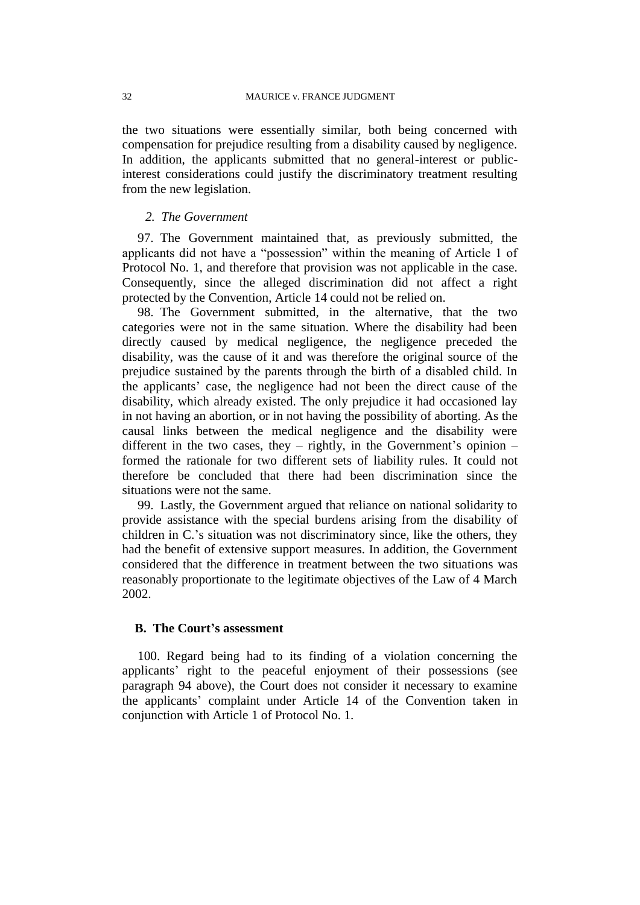the two situations were essentially similar, both being concerned with compensation for prejudice resulting from a disability caused by negligence. In addition, the applicants submitted that no general-interest or publicinterest considerations could justify the discriminatory treatment resulting from the new legislation.

## *2. The Government*

97. The Government maintained that, as previously submitted, the applicants did not have a "possession" within the meaning of Article 1 of Protocol No. 1, and therefore that provision was not applicable in the case. Consequently, since the alleged discrimination did not affect a right protected by the Convention, Article 14 could not be relied on.

98. The Government submitted, in the alternative, that the two categories were not in the same situation. Where the disability had been directly caused by medical negligence, the negligence preceded the disability, was the cause of it and was therefore the original source of the prejudice sustained by the parents through the birth of a disabled child. In the applicants' case, the negligence had not been the direct cause of the disability, which already existed. The only prejudice it had occasioned lay in not having an abortion, or in not having the possibility of aborting. As the causal links between the medical negligence and the disability were different in the two cases, they – rightly, in the Government's opinion – formed the rationale for two different sets of liability rules. It could not therefore be concluded that there had been discrimination since the situations were not the same.

99. Lastly, the Government argued that reliance on national solidarity to provide assistance with the special burdens arising from the disability of children in C.'s situation was not discriminatory since, like the others, they had the benefit of extensive support measures. In addition, the Government considered that the difference in treatment between the two situations was reasonably proportionate to the legitimate objectives of the Law of 4 March 2002.

## **B. The Court's assessment**

100. Regard being had to its finding of a violation concerning the applicants' right to the peaceful enjoyment of their possessions (see paragraph 94 above), the Court does not consider it necessary to examine the applicants' complaint under Article 14 of the Convention taken in conjunction with Article 1 of Protocol No. 1.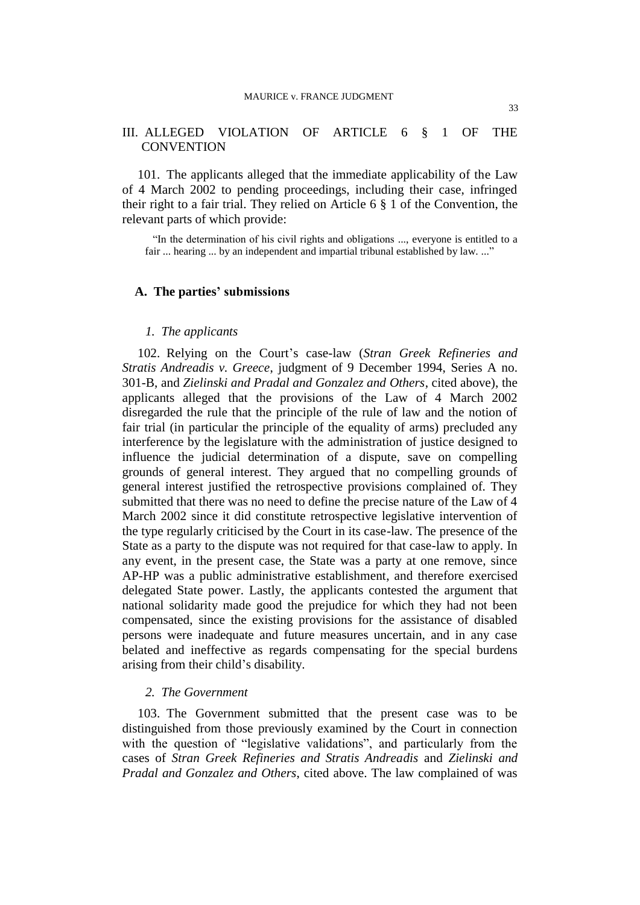## III. ALLEGED VIOLATION OF ARTICLE 6 § 1 OF THE **CONVENTION**

101. The applicants alleged that the immediate applicability of the Law of 4 March 2002 to pending proceedings, including their case, infringed their right to a fair trial. They relied on Article 6 § 1 of the Convention, the relevant parts of which provide:

"In the determination of his civil rights and obligations ..., everyone is entitled to a fair ... hearing ... by an independent and impartial tribunal established by law. ..."

### **A. The parties' submissions**

#### *1. The applicants*

102. Relying on the Court's case-law (*Stran Greek Refineries and Stratis Andreadis v. Greece*, judgment of 9 December 1994, Series A no. 301-B, and *Zielinski and Pradal and Gonzalez and Others*, cited above), the applicants alleged that the provisions of the Law of 4 March 2002 disregarded the rule that the principle of the rule of law and the notion of fair trial (in particular the principle of the equality of arms) precluded any interference by the legislature with the administration of justice designed to influence the judicial determination of a dispute, save on compelling grounds of general interest. They argued that no compelling grounds of general interest justified the retrospective provisions complained of. They submitted that there was no need to define the precise nature of the Law of 4 March 2002 since it did constitute retrospective legislative intervention of the type regularly criticised by the Court in its case-law. The presence of the State as a party to the dispute was not required for that case-law to apply. In any event, in the present case, the State was a party at one remove, since AP-HP was a public administrative establishment, and therefore exercised delegated State power. Lastly, the applicants contested the argument that national solidarity made good the prejudice for which they had not been compensated, since the existing provisions for the assistance of disabled persons were inadequate and future measures uncertain, and in any case belated and ineffective as regards compensating for the special burdens arising from their child's disability.

### *2. The Government*

103. The Government submitted that the present case was to be distinguished from those previously examined by the Court in connection with the question of "legislative validations", and particularly from the cases of *Stran Greek Refineries and Stratis Andreadis* and *Zielinski and Pradal and Gonzalez and Others*, cited above. The law complained of was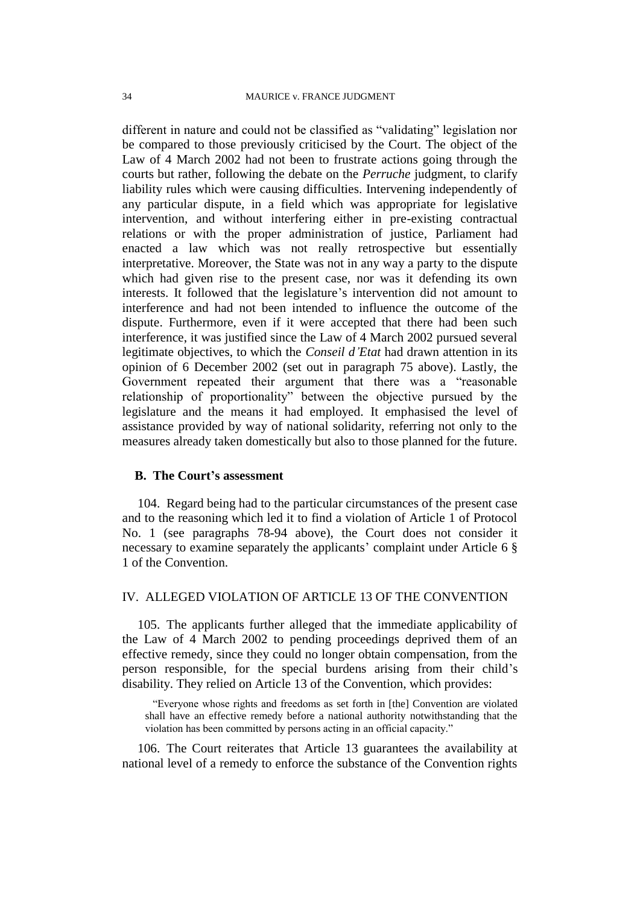different in nature and could not be classified as "validating" legislation nor be compared to those previously criticised by the Court. The object of the Law of 4 March 2002 had not been to frustrate actions going through the courts but rather, following the debate on the *Perruche* judgment, to clarify liability rules which were causing difficulties. Intervening independently of any particular dispute, in a field which was appropriate for legislative intervention, and without interfering either in pre-existing contractual relations or with the proper administration of justice, Parliament had enacted a law which was not really retrospective but essentially interpretative. Moreover, the State was not in any way a party to the dispute which had given rise to the present case, nor was it defending its own interests. It followed that the legislature's intervention did not amount to interference and had not been intended to influence the outcome of the dispute. Furthermore, even if it were accepted that there had been such interference, it was justified since the Law of 4 March 2002 pursued several legitimate objectives, to which the *Conseil d'Etat* had drawn attention in its opinion of 6 December 2002 (set out in paragraph 75 above). Lastly, the Government repeated their argument that there was a "reasonable relationship of proportionality" between the objective pursued by the legislature and the means it had employed. It emphasised the level of assistance provided by way of national solidarity, referring not only to the measures already taken domestically but also to those planned for the future.

## **B. The Court's assessment**

104. Regard being had to the particular circumstances of the present case and to the reasoning which led it to find a violation of Article 1 of Protocol No. 1 (see paragraphs 78-94 above), the Court does not consider it necessary to examine separately the applicants' complaint under Article 6 § 1 of the Convention.

## IV. ALLEGED VIOLATION OF ARTICLE 13 OF THE CONVENTION

105. The applicants further alleged that the immediate applicability of the Law of 4 March 2002 to pending proceedings deprived them of an effective remedy, since they could no longer obtain compensation, from the person responsible, for the special burdens arising from their child's disability. They relied on Article 13 of the Convention, which provides:

"Everyone whose rights and freedoms as set forth in [the] Convention are violated shall have an effective remedy before a national authority notwithstanding that the violation has been committed by persons acting in an official capacity."

106. The Court reiterates that Article 13 guarantees the availability at national level of a remedy to enforce the substance of the Convention rights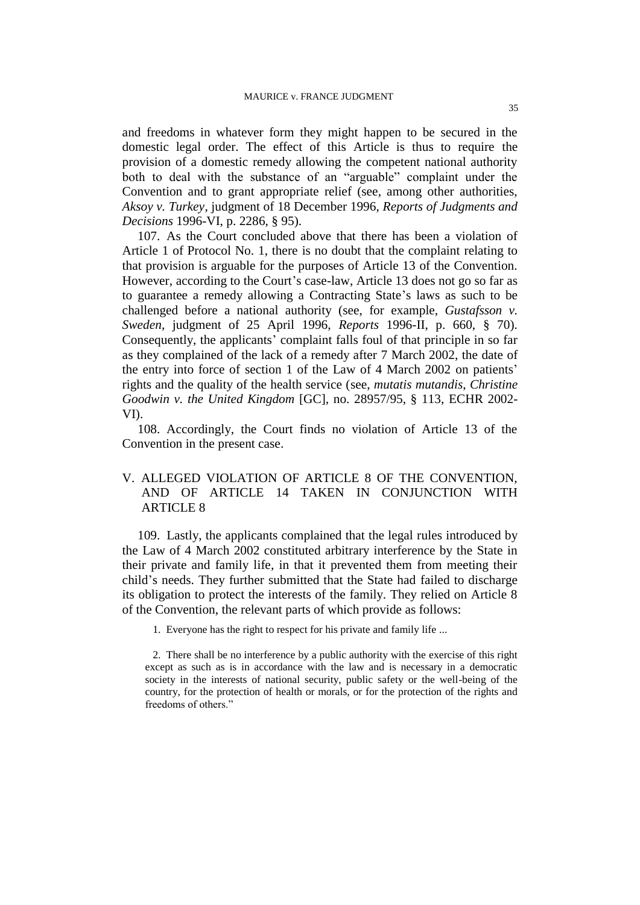and freedoms in whatever form they might happen to be secured in the domestic legal order. The effect of this Article is thus to require the provision of a domestic remedy allowing the competent national authority both to deal with the substance of an "arguable" complaint under the Convention and to grant appropriate relief (see, among other authorities, *Aksoy v. Turkey*, judgment of 18 December 1996, *Reports of Judgments and Decisions* 1996-VI, p. 2286, § 95).

107. As the Court concluded above that there has been a violation of Article 1 of Protocol No. 1, there is no doubt that the complaint relating to that provision is arguable for the purposes of Article 13 of the Convention. However, according to the Court's case-law, Article 13 does not go so far as to guarantee a remedy allowing a Contracting State's laws as such to be challenged before a national authority (see, for example, *Gustafsson v. Sweden*, judgment of 25 April 1996, *Reports* 1996-II, p. 660, § 70). Consequently, the applicants' complaint falls foul of that principle in so far as they complained of the lack of a remedy after 7 March 2002, the date of the entry into force of section 1 of the Law of 4 March 2002 on patients' rights and the quality of the health service (see, *mutatis mutandis*, *Christine Goodwin v. the United Kingdom* [GC], no. 28957/95, § 113, ECHR 2002- VI).

108. Accordingly, the Court finds no violation of Article 13 of the Convention in the present case.

## V. ALLEGED VIOLATION OF ARTICLE 8 OF THE CONVENTION, AND OF ARTICLE 14 TAKEN IN CONJUNCTION WITH ARTICLE 8

109. Lastly, the applicants complained that the legal rules introduced by the Law of 4 March 2002 constituted arbitrary interference by the State in their private and family life, in that it prevented them from meeting their child's needs. They further submitted that the State had failed to discharge its obligation to protect the interests of the family. They relied on Article 8 of the Convention, the relevant parts of which provide as follows:

1. Everyone has the right to respect for his private and family life ...

2. There shall be no interference by a public authority with the exercise of this right except as such as is in accordance with the law and is necessary in a democratic society in the interests of national security, public safety or the well-being of the country, for the protection of health or morals, or for the protection of the rights and freedoms of others."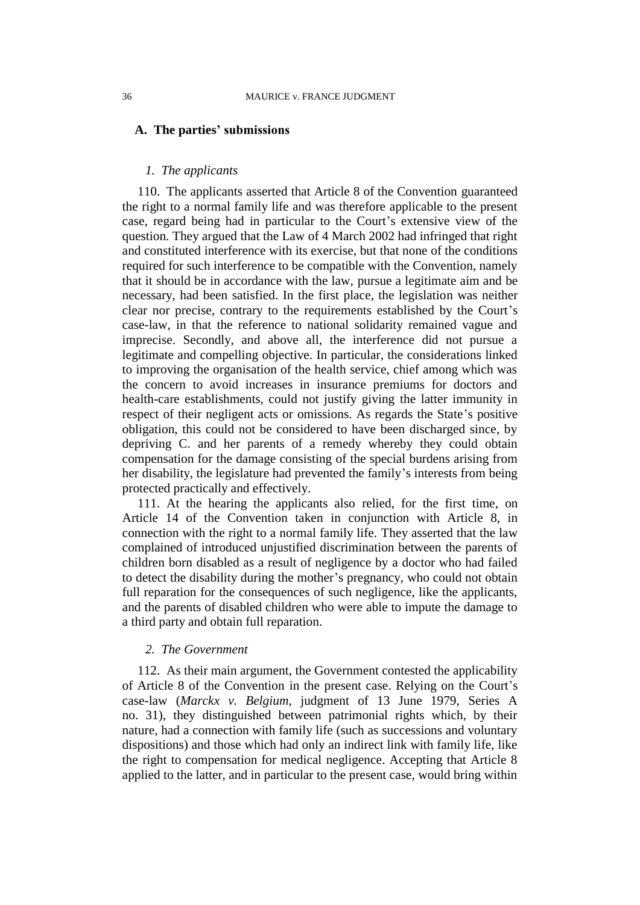#### **A. The parties' submissions**

### *1. The applicants*

110. The applicants asserted that Article 8 of the Convention guaranteed the right to a normal family life and was therefore applicable to the present case, regard being had in particular to the Court's extensive view of the question. They argued that the Law of 4 March 2002 had infringed that right and constituted interference with its exercise, but that none of the conditions required for such interference to be compatible with the Convention, namely that it should be in accordance with the law, pursue a legitimate aim and be necessary, had been satisfied. In the first place, the legislation was neither clear nor precise, contrary to the requirements established by the Court's case-law, in that the reference to national solidarity remained vague and imprecise. Secondly, and above all, the interference did not pursue a legitimate and compelling objective. In particular, the considerations linked to improving the organisation of the health service, chief among which was the concern to avoid increases in insurance premiums for doctors and health-care establishments, could not justify giving the latter immunity in respect of their negligent acts or omissions. As regards the State's positive obligation, this could not be considered to have been discharged since, by depriving C. and her parents of a remedy whereby they could obtain compensation for the damage consisting of the special burdens arising from her disability, the legislature had prevented the family's interests from being protected practically and effectively.

111. At the hearing the applicants also relied, for the first time, on Article 14 of the Convention taken in conjunction with Article 8, in connection with the right to a normal family life. They asserted that the law complained of introduced unjustified discrimination between the parents of children born disabled as a result of negligence by a doctor who had failed to detect the disability during the mother's pregnancy, who could not obtain full reparation for the consequences of such negligence, like the applicants, and the parents of disabled children who were able to impute the damage to a third party and obtain full reparation.

#### *2. The Government*

112. As their main argument, the Government contested the applicability of Article 8 of the Convention in the present case. Relying on the Court's case-law (*Marckx v. Belgium*, judgment of 13 June 1979, Series A no. 31), they distinguished between patrimonial rights which, by their nature, had a connection with family life (such as successions and voluntary dispositions) and those which had only an indirect link with family life, like the right to compensation for medical negligence. Accepting that Article 8 applied to the latter, and in particular to the present case, would bring within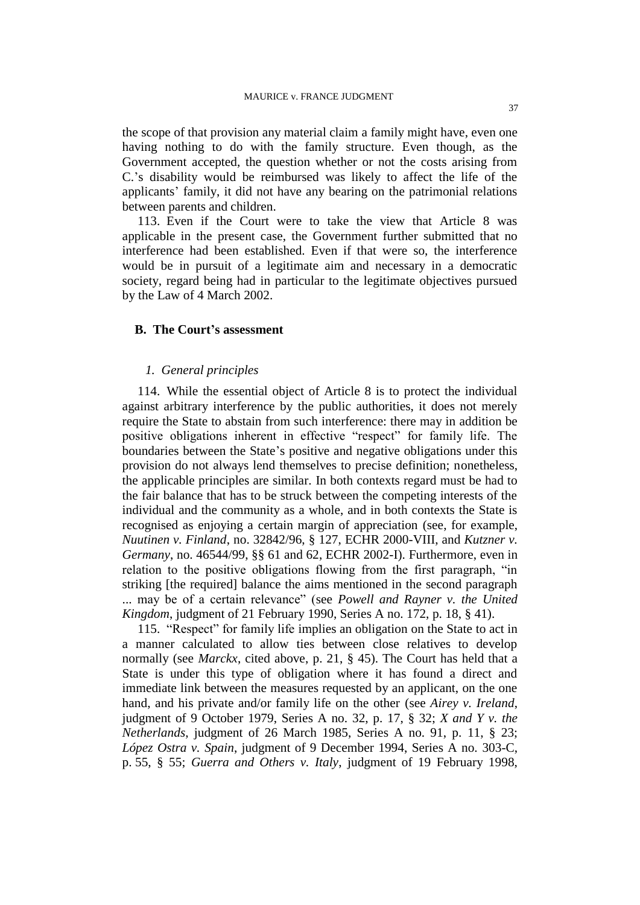the scope of that provision any material claim a family might have, even one having nothing to do with the family structure. Even though, as the Government accepted, the question whether or not the costs arising from C.'s disability would be reimbursed was likely to affect the life of the applicants' family, it did not have any bearing on the patrimonial relations between parents and children.

113. Even if the Court were to take the view that Article 8 was applicable in the present case, the Government further submitted that no interference had been established. Even if that were so, the interference would be in pursuit of a legitimate aim and necessary in a democratic society, regard being had in particular to the legitimate objectives pursued by the Law of 4 March 2002.

### **B. The Court's assessment**

### *1. General principles*

114. While the essential object of Article 8 is to protect the individual against arbitrary interference by the public authorities, it does not merely require the State to abstain from such interference: there may in addition be positive obligations inherent in effective "respect" for family life. The boundaries between the State's positive and negative obligations under this provision do not always lend themselves to precise definition; nonetheless, the applicable principles are similar. In both contexts regard must be had to the fair balance that has to be struck between the competing interests of the individual and the community as a whole, and in both contexts the State is recognised as enjoying a certain margin of appreciation (see, for example, *Nuutinen v. Finland*, no. 32842/96, § 127, ECHR 2000-VIII, and *Kutzner v. Germany*, no. 46544/99, §§ 61 and 62, ECHR 2002-I). Furthermore, even in relation to the positive obligations flowing from the first paragraph, "in striking [the required] balance the aims mentioned in the second paragraph ... may be of a certain relevance" (see *Powell and Rayner v. the United Kingdom*, judgment of 21 February 1990, Series A no. 172, p. 18, § 41).

115. "Respect" for family life implies an obligation on the State to act in a manner calculated to allow ties between close relatives to develop normally (see *Marckx*, cited above, p. 21, § 45). The Court has held that a State is under this type of obligation where it has found a direct and immediate link between the measures requested by an applicant, on the one hand, and his private and/or family life on the other (see *Airey v. Ireland*, judgment of 9 October 1979, Series A no. 32, p. 17, § 32; *X and Y v. the Netherlands*, judgment of 26 March 1985, Series A no. 91, p. 11, § 23; *López Ostra v. Spain*, judgment of 9 December 1994, Series A no. 303-C, p. 55, § 55; *Guerra and Others v. Italy*, judgment of 19 February 1998,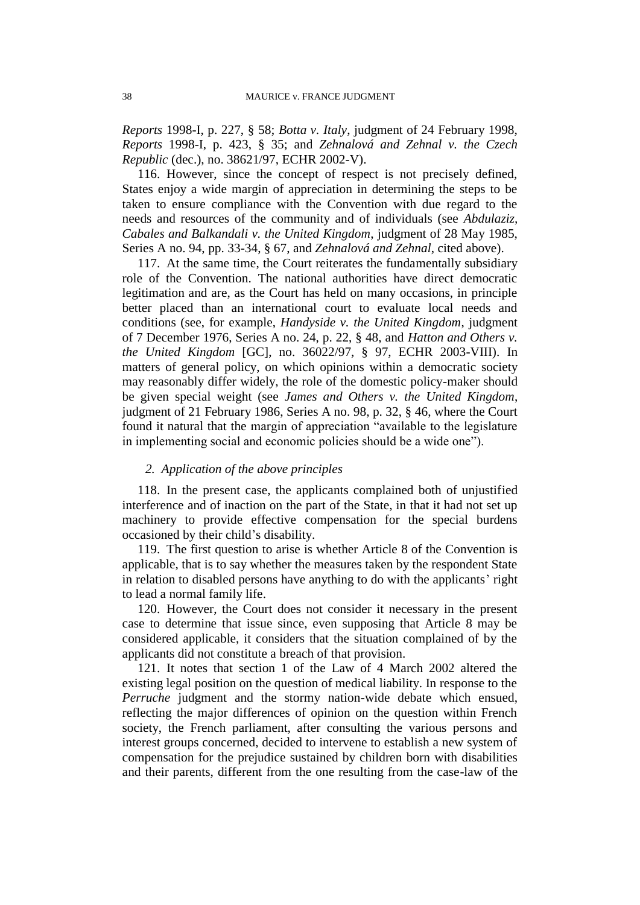*Reports* 1998-I, p. 227, § 58; *Botta v. Italy*, judgment of 24 February 1998, *Reports* 1998-I, p. 423, § 35; and *Zehnalová and Zehnal v. the Czech Republic* (dec.), no. 38621/97, ECHR 2002-V).

116. However, since the concept of respect is not precisely defined, States enjoy a wide margin of appreciation in determining the steps to be taken to ensure compliance with the Convention with due regard to the needs and resources of the community and of individuals (see *Abdulaziz, Cabales and Balkandali v. the United Kingdom*, judgment of 28 May 1985, Series A no. 94, pp. 33-34, § 67, and *Zehnalová and Zehnal*, cited above).

117. At the same time, the Court reiterates the fundamentally subsidiary role of the Convention. The national authorities have direct democratic legitimation and are, as the Court has held on many occasions, in principle better placed than an international court to evaluate local needs and conditions (see, for example, *Handyside v. the United Kingdom*, judgment of 7 December 1976, Series A no. 24, p. 22, § 48, and *Hatton and Others v. the United Kingdom* [GC], no. 36022/97, § 97, ECHR 2003-VIII). In matters of general policy, on which opinions within a democratic society may reasonably differ widely, the role of the domestic policy-maker should be given special weight (see *James and Others v. the United Kingdom*, judgment of 21 February 1986, Series A no. 98, p. 32, § 46, where the Court found it natural that the margin of appreciation "available to the legislature in implementing social and economic policies should be a wide one").

## *2. Application of the above principles*

118. In the present case, the applicants complained both of unjustified interference and of inaction on the part of the State, in that it had not set up machinery to provide effective compensation for the special burdens occasioned by their child's disability.

119. The first question to arise is whether Article 8 of the Convention is applicable, that is to say whether the measures taken by the respondent State in relation to disabled persons have anything to do with the applicants' right to lead a normal family life.

120. However, the Court does not consider it necessary in the present case to determine that issue since, even supposing that Article 8 may be considered applicable, it considers that the situation complained of by the applicants did not constitute a breach of that provision.

121. It notes that section 1 of the Law of 4 March 2002 altered the existing legal position on the question of medical liability. In response to the *Perruche* judgment and the stormy nation-wide debate which ensued, reflecting the major differences of opinion on the question within French society, the French parliament, after consulting the various persons and interest groups concerned, decided to intervene to establish a new system of compensation for the prejudice sustained by children born with disabilities and their parents, different from the one resulting from the case-law of the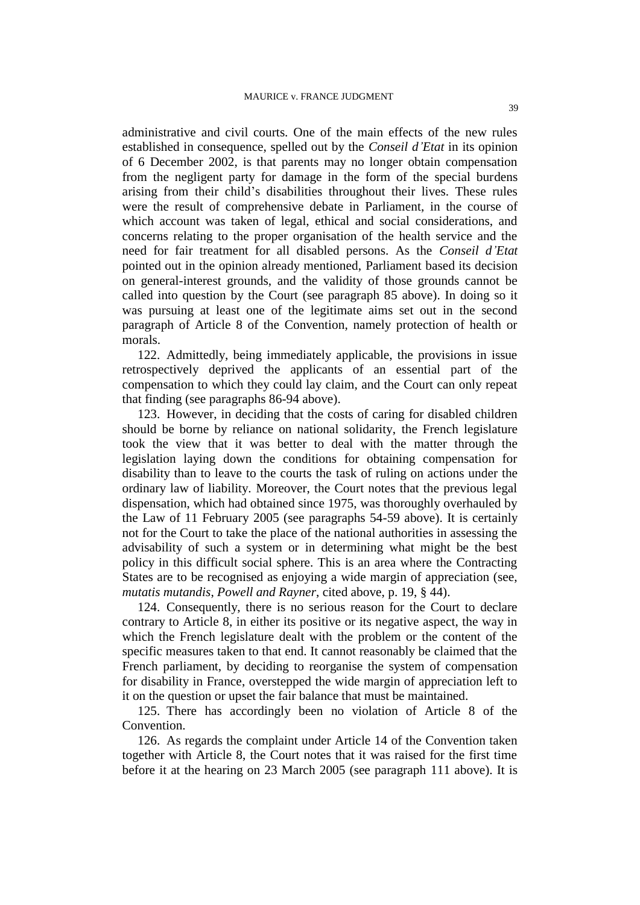administrative and civil courts. One of the main effects of the new rules established in consequence, spelled out by the *Conseil d'Etat* in its opinion of 6 December 2002, is that parents may no longer obtain compensation from the negligent party for damage in the form of the special burdens arising from their child's disabilities throughout their lives. These rules were the result of comprehensive debate in Parliament, in the course of which account was taken of legal, ethical and social considerations, and concerns relating to the proper organisation of the health service and the need for fair treatment for all disabled persons. As the *Conseil d'Etat* pointed out in the opinion already mentioned, Parliament based its decision on general-interest grounds, and the validity of those grounds cannot be called into question by the Court (see paragraph 85 above). In doing so it was pursuing at least one of the legitimate aims set out in the second paragraph of Article 8 of the Convention, namely protection of health or morals.

122. Admittedly, being immediately applicable, the provisions in issue retrospectively deprived the applicants of an essential part of the compensation to which they could lay claim, and the Court can only repeat that finding (see paragraphs 86-94 above).

123. However, in deciding that the costs of caring for disabled children should be borne by reliance on national solidarity, the French legislature took the view that it was better to deal with the matter through the legislation laying down the conditions for obtaining compensation for disability than to leave to the courts the task of ruling on actions under the ordinary law of liability. Moreover, the Court notes that the previous legal dispensation, which had obtained since 1975, was thoroughly overhauled by the Law of 11 February 2005 (see paragraphs 54-59 above). It is certainly not for the Court to take the place of the national authorities in assessing the advisability of such a system or in determining what might be the best policy in this difficult social sphere. This is an area where the Contracting States are to be recognised as enjoying a wide margin of appreciation (see, *mutatis mutandis*, *Powell and Rayner*, cited above, p. 19, § 44).

124. Consequently, there is no serious reason for the Court to declare contrary to Article 8, in either its positive or its negative aspect, the way in which the French legislature dealt with the problem or the content of the specific measures taken to that end. It cannot reasonably be claimed that the French parliament, by deciding to reorganise the system of compensation for disability in France, overstepped the wide margin of appreciation left to it on the question or upset the fair balance that must be maintained.

125. There has accordingly been no violation of Article 8 of the Convention.

126. As regards the complaint under Article 14 of the Convention taken together with Article 8, the Court notes that it was raised for the first time before it at the hearing on 23 March 2005 (see paragraph 111 above). It is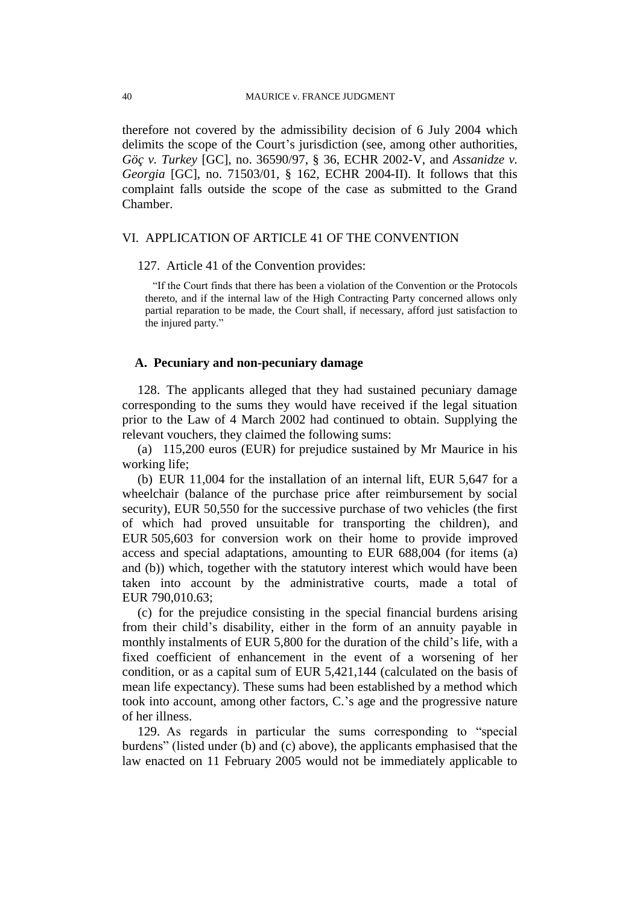therefore not covered by the admissibility decision of 6 July 2004 which delimits the scope of the Court's jurisdiction (see, among other authorities, *Göç v. Turkey* [GC], no. 36590/97, § 36, ECHR 2002-V, and *Assanidze v. Georgia* [GC], no. 71503/01, § 162, ECHR 2004-II). It follows that this complaint falls outside the scope of the case as submitted to the Grand Chamber.

#### VI. APPLICATION OF ARTICLE 41 OF THE CONVENTION

127. Article 41 of the Convention provides:

"If the Court finds that there has been a violation of the Convention or the Protocols thereto, and if the internal law of the High Contracting Party concerned allows only partial reparation to be made, the Court shall, if necessary, afford just satisfaction to the injured party."

#### **A. Pecuniary and non-pecuniary damage**

128. The applicants alleged that they had sustained pecuniary damage corresponding to the sums they would have received if the legal situation prior to the Law of 4 March 2002 had continued to obtain. Supplying the relevant vouchers, they claimed the following sums:

(a) 115,200 euros (EUR) for prejudice sustained by Mr Maurice in his working life;

(b) EUR 11,004 for the installation of an internal lift, EUR 5,647 for a wheelchair (balance of the purchase price after reimbursement by social security), EUR 50,550 for the successive purchase of two vehicles (the first of which had proved unsuitable for transporting the children), and EUR 505,603 for conversion work on their home to provide improved access and special adaptations, amounting to EUR 688,004 (for items (a) and (b)) which, together with the statutory interest which would have been taken into account by the administrative courts, made a total of EUR 790,010.63;

(c) for the prejudice consisting in the special financial burdens arising from their child's disability, either in the form of an annuity payable in monthly instalments of EUR 5,800 for the duration of the child's life, with a fixed coefficient of enhancement in the event of a worsening of her condition, or as a capital sum of EUR 5,421,144 (calculated on the basis of mean life expectancy). These sums had been established by a method which took into account, among other factors, C.'s age and the progressive nature of her illness.

129. As regards in particular the sums corresponding to "special burdens" (listed under (b) and (c) above), the applicants emphasised that the law enacted on 11 February 2005 would not be immediately applicable to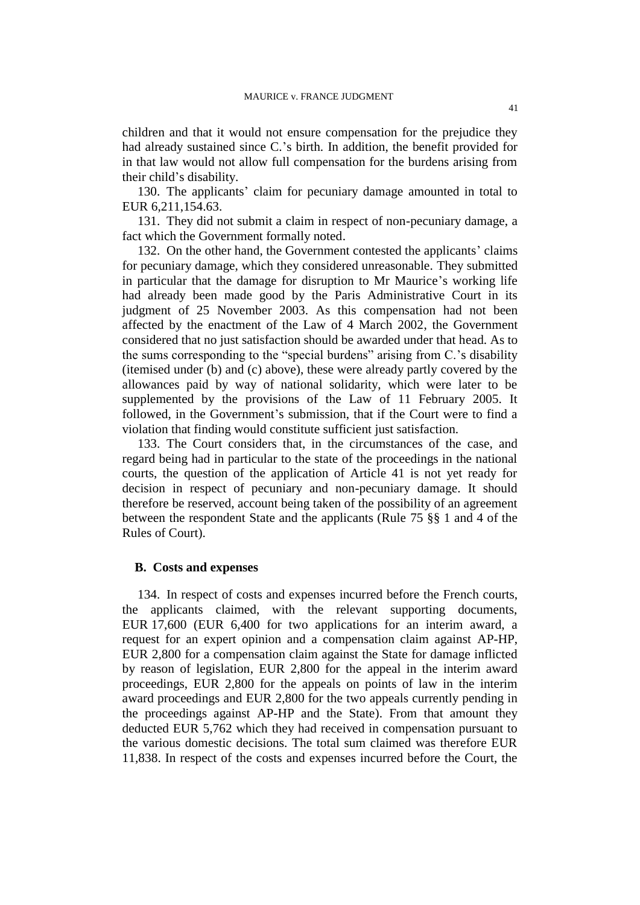children and that it would not ensure compensation for the prejudice they had already sustained since C.'s birth. In addition, the benefit provided for in that law would not allow full compensation for the burdens arising from their child's disability.

130. The applicants' claim for pecuniary damage amounted in total to EUR 6,211,154.63.

131. They did not submit a claim in respect of non-pecuniary damage, a fact which the Government formally noted.

132. On the other hand, the Government contested the applicants' claims for pecuniary damage, which they considered unreasonable. They submitted in particular that the damage for disruption to Mr Maurice's working life had already been made good by the Paris Administrative Court in its judgment of 25 November 2003. As this compensation had not been affected by the enactment of the Law of 4 March 2002, the Government considered that no just satisfaction should be awarded under that head. As to the sums corresponding to the "special burdens" arising from C.'s disability (itemised under (b) and (c) above), these were already partly covered by the allowances paid by way of national solidarity, which were later to be supplemented by the provisions of the Law of 11 February 2005. It followed, in the Government's submission, that if the Court were to find a violation that finding would constitute sufficient just satisfaction.

133. The Court considers that, in the circumstances of the case, and regard being had in particular to the state of the proceedings in the national courts, the question of the application of Article 41 is not yet ready for decision in respect of pecuniary and non-pecuniary damage. It should therefore be reserved, account being taken of the possibility of an agreement between the respondent State and the applicants (Rule 75 §§ 1 and 4 of the Rules of Court).

#### **B. Costs and expenses**

134. In respect of costs and expenses incurred before the French courts, the applicants claimed, with the relevant supporting documents, EUR 17,600 (EUR 6,400 for two applications for an interim award, a request for an expert opinion and a compensation claim against AP-HP, EUR 2,800 for a compensation claim against the State for damage inflicted by reason of legislation, EUR 2,800 for the appeal in the interim award proceedings, EUR 2,800 for the appeals on points of law in the interim award proceedings and EUR 2,800 for the two appeals currently pending in the proceedings against AP-HP and the State). From that amount they deducted EUR 5,762 which they had received in compensation pursuant to the various domestic decisions. The total sum claimed was therefore EUR 11,838. In respect of the costs and expenses incurred before the Court, the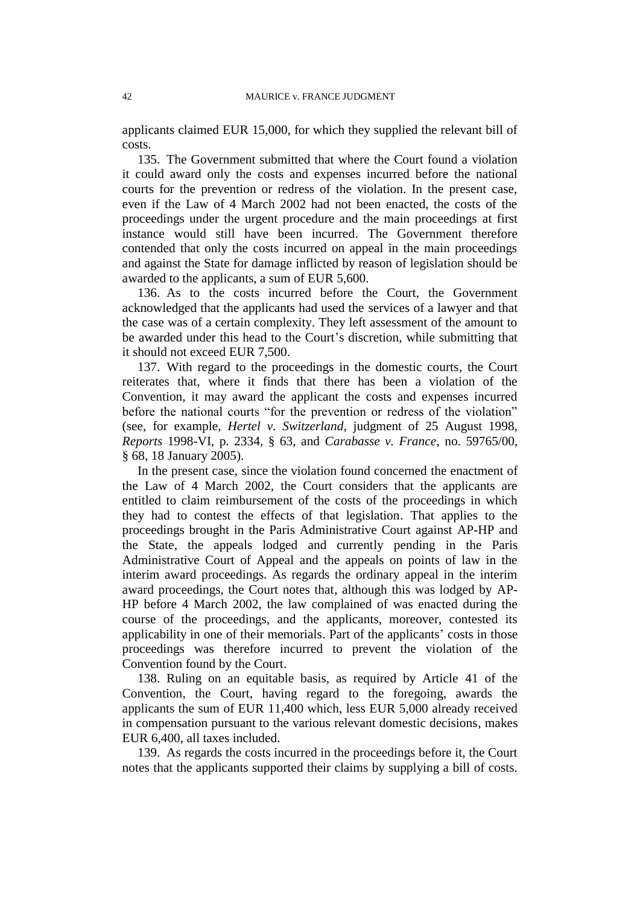applicants claimed EUR 15,000, for which they supplied the relevant bill of costs.

135. The Government submitted that where the Court found a violation it could award only the costs and expenses incurred before the national courts for the prevention or redress of the violation. In the present case, even if the Law of 4 March 2002 had not been enacted, the costs of the proceedings under the urgent procedure and the main proceedings at first instance would still have been incurred. The Government therefore contended that only the costs incurred on appeal in the main proceedings and against the State for damage inflicted by reason of legislation should be awarded to the applicants, a sum of EUR 5,600.

136. As to the costs incurred before the Court, the Government acknowledged that the applicants had used the services of a lawyer and that the case was of a certain complexity. They left assessment of the amount to be awarded under this head to the Court's discretion, while submitting that it should not exceed EUR 7,500.

137. With regard to the proceedings in the domestic courts, the Court reiterates that, where it finds that there has been a violation of the Convention, it may award the applicant the costs and expenses incurred before the national courts "for the prevention or redress of the violation" (see, for example, *Hertel v. Switzerland,* judgment of 25 August 1998, *Reports* 1998-VI, p. 2334, § 63, and *Carabasse v. France*, no. 59765/00, § 68, 18 January 2005).

In the present case, since the violation found concerned the enactment of the Law of 4 March 2002, the Court considers that the applicants are entitled to claim reimbursement of the costs of the proceedings in which they had to contest the effects of that legislation. That applies to the proceedings brought in the Paris Administrative Court against AP-HP and the State, the appeals lodged and currently pending in the Paris Administrative Court of Appeal and the appeals on points of law in the interim award proceedings. As regards the ordinary appeal in the interim award proceedings, the Court notes that, although this was lodged by AP-HP before 4 March 2002, the law complained of was enacted during the course of the proceedings, and the applicants, moreover, contested its applicability in one of their memorials. Part of the applicants' costs in those proceedings was therefore incurred to prevent the violation of the Convention found by the Court.

138. Ruling on an equitable basis, as required by Article 41 of the Convention, the Court, having regard to the foregoing, awards the applicants the sum of EUR 11,400 which, less EUR 5,000 already received in compensation pursuant to the various relevant domestic decisions, makes EUR 6,400, all taxes included.

139. As regards the costs incurred in the proceedings before it, the Court notes that the applicants supported their claims by supplying a bill of costs.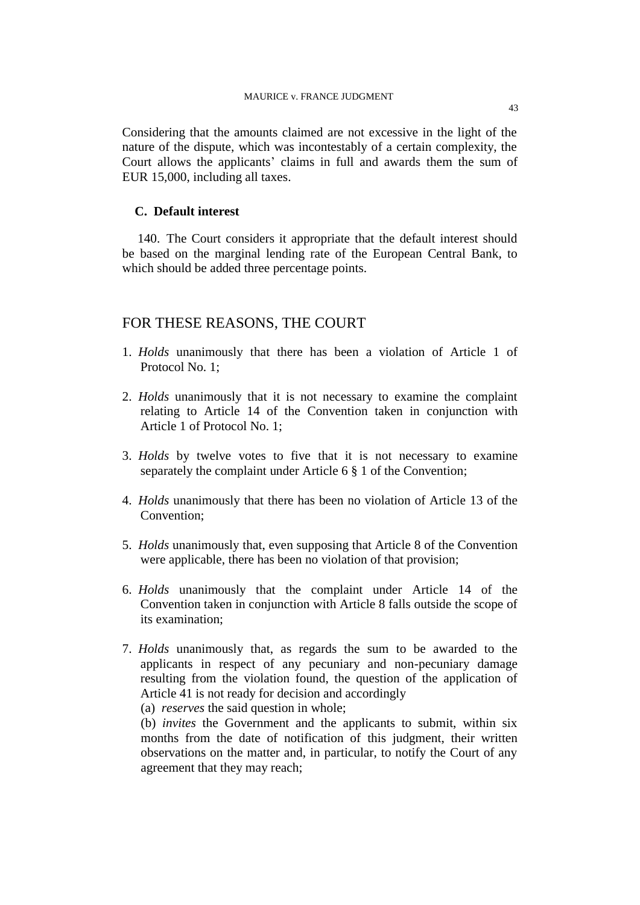Considering that the amounts claimed are not excessive in the light of the nature of the dispute, which was incontestably of a certain complexity, the Court allows the applicants' claims in full and awards them the sum of EUR 15,000, including all taxes.

### **C. Default interest**

140. The Court considers it appropriate that the default interest should be based on the marginal lending rate of the European Central Bank, to which should be added three percentage points.

## FOR THESE REASONS, THE COURT

- 1. *Holds* unanimously that there has been a violation of Article 1 of Protocol No. 1;
- 2. *Holds* unanimously that it is not necessary to examine the complaint relating to Article 14 of the Convention taken in conjunction with Article 1 of Protocol No. 1;
- 3. *Holds* by twelve votes to five that it is not necessary to examine separately the complaint under Article 6 § 1 of the Convention;
- 4. *Holds* unanimously that there has been no violation of Article 13 of the Convention;
- 5. *Holds* unanimously that, even supposing that Article 8 of the Convention were applicable, there has been no violation of that provision;
- 6. *Holds* unanimously that the complaint under Article 14 of the Convention taken in conjunction with Article 8 falls outside the scope of its examination;
- 7. *Holds* unanimously that, as regards the sum to be awarded to the applicants in respect of any pecuniary and non-pecuniary damage resulting from the violation found, the question of the application of Article 41 is not ready for decision and accordingly

(a) *reserves* the said question in whole;

(b) *invites* the Government and the applicants to submit, within six months from the date of notification of this judgment, their written observations on the matter and, in particular, to notify the Court of any agreement that they may reach;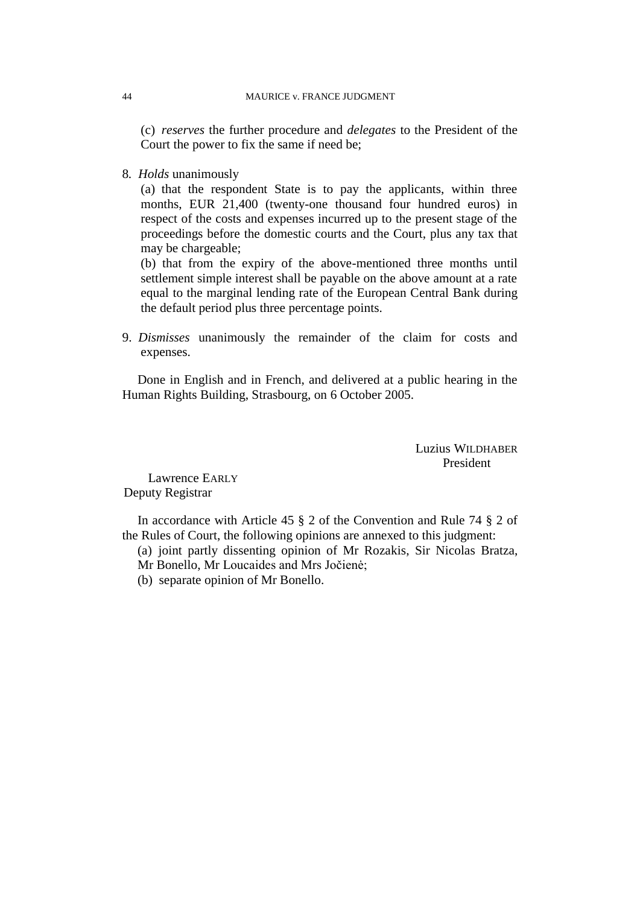(c) *reserves* the further procedure and *delegates* to the President of the Court the power to fix the same if need be;

8*. Holds* unanimously

(a) that the respondent State is to pay the applicants, within three months, EUR 21,400 (twenty-one thousand four hundred euros) in respect of the costs and expenses incurred up to the present stage of the proceedings before the domestic courts and the Court, plus any tax that may be chargeable;

(b) that from the expiry of the above-mentioned three months until settlement simple interest shall be payable on the above amount at a rate equal to the marginal lending rate of the European Central Bank during the default period plus three percentage points.

9. *Dismisses* unanimously the remainder of the claim for costs and expenses.

Done in English and in French, and delivered at a public hearing in the Human Rights Building, Strasbourg, on 6 October 2005.

> Luzius WILDHABER President

Lawrence EARLY Deputy Registrar

In accordance with Article 45 § 2 of the Convention and Rule 74 § 2 of the Rules of Court, the following opinions are annexed to this judgment:

(a) joint partly dissenting opinion of Mr Rozakis, Sir Nicolas Bratza,

- Mr Bonello, Mr Loucaides and Mrs Jočienė;
- (b) separate opinion of Mr Bonello.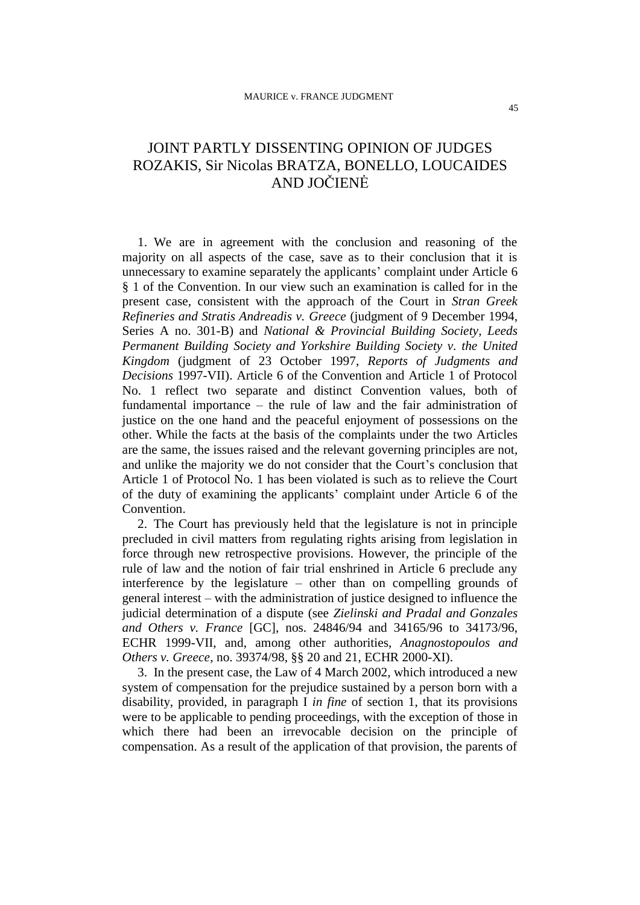## JOINT PARTLY DISSENTING OPINION OF JUDGES ROZAKIS, Sir Nicolas BRATZA, BONELLO, LOUCAIDES AND JOČIENĖ

1. We are in agreement with the conclusion and reasoning of the majority on all aspects of the case, save as to their conclusion that it is unnecessary to examine separately the applicants' complaint under Article 6 § 1 of the Convention. In our view such an examination is called for in the present case, consistent with the approach of the Court in *Stran Greek Refineries and Stratis Andreadis v. Greece* (judgment of 9 December 1994, Series A no. 301-B) and *National & Provincial Building Society, Leeds Permanent Building Society and Yorkshire Building Society v. the United Kingdom* (judgment of 23 October 1997, *Reports of Judgments and Decisions* 1997-VII). Article 6 of the Convention and Article 1 of Protocol No. 1 reflect two separate and distinct Convention values, both of fundamental importance – the rule of law and the fair administration of justice on the one hand and the peaceful enjoyment of possessions on the other. While the facts at the basis of the complaints under the two Articles are the same, the issues raised and the relevant governing principles are not, and unlike the majority we do not consider that the Court's conclusion that Article 1 of Protocol No. 1 has been violated is such as to relieve the Court of the duty of examining the applicants' complaint under Article 6 of the Convention.

2. The Court has previously held that the legislature is not in principle precluded in civil matters from regulating rights arising from legislation in force through new retrospective provisions. However, the principle of the rule of law and the notion of fair trial enshrined in Article 6 preclude any interference by the legislature – other than on compelling grounds of general interest – with the administration of justice designed to influence the judicial determination of a dispute (see *Zielinski and Pradal and Gonzales and Others v. France* [GC], nos. 24846/94 and 34165/96 to 34173/96, ECHR 1999-VII, and, among other authorities, *Anagnostopoulos and Others v. Greece*, no. 39374/98, §§ 20 and 21, ECHR 2000-XI).

3. In the present case, the Law of 4 March 2002, which introduced a new system of compensation for the prejudice sustained by a person born with a disability, provided, in paragraph I *in fine* of section 1, that its provisions were to be applicable to pending proceedings, with the exception of those in which there had been an irrevocable decision on the principle of compensation. As a result of the application of that provision, the parents of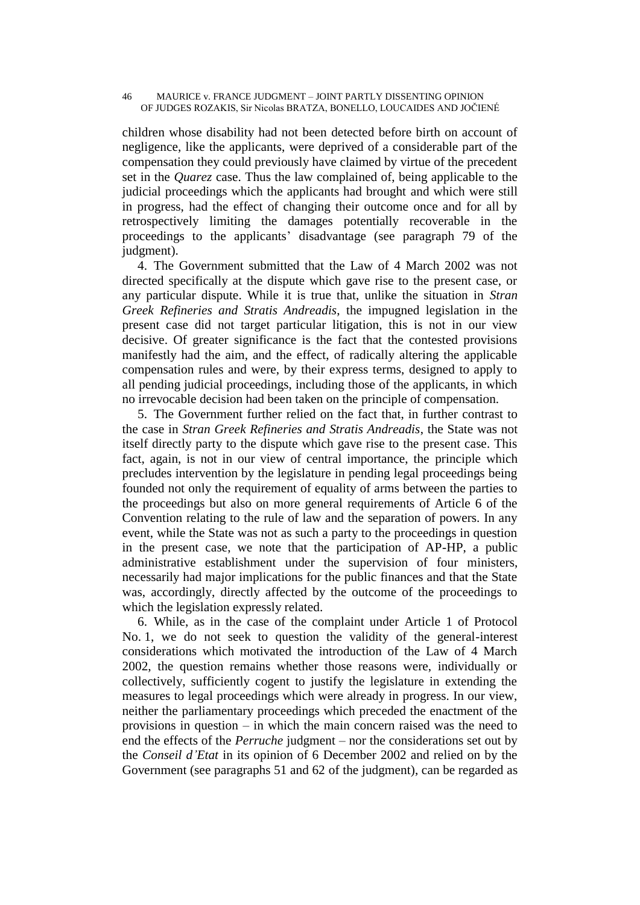#### 46 MAURICE v. FRANCE JUDGMENT – JOINT PARTLY DISSENTING OPINION OF JUDGES ROZAKIS, Sir Nicolas BRATZA, BONELLO, LOUCAIDES AND JOČIENÉ

children whose disability had not been detected before birth on account of negligence, like the applicants, were deprived of a considerable part of the compensation they could previously have claimed by virtue of the precedent set in the *Quarez* case. Thus the law complained of, being applicable to the judicial proceedings which the applicants had brought and which were still in progress, had the effect of changing their outcome once and for all by retrospectively limiting the damages potentially recoverable in the proceedings to the applicants' disadvantage (see paragraph 79 of the judgment).

4. The Government submitted that the Law of 4 March 2002 was not directed specifically at the dispute which gave rise to the present case, or any particular dispute. While it is true that, unlike the situation in *Stran Greek Refineries and Stratis Andreadis*, the impugned legislation in the present case did not target particular litigation, this is not in our view decisive. Of greater significance is the fact that the contested provisions manifestly had the aim, and the effect, of radically altering the applicable compensation rules and were, by their express terms, designed to apply to all pending judicial proceedings, including those of the applicants, in which no irrevocable decision had been taken on the principle of compensation.

5. The Government further relied on the fact that, in further contrast to the case in *Stran Greek Refineries and Stratis Andreadis*, the State was not itself directly party to the dispute which gave rise to the present case. This fact, again, is not in our view of central importance, the principle which precludes intervention by the legislature in pending legal proceedings being founded not only the requirement of equality of arms between the parties to the proceedings but also on more general requirements of Article 6 of the Convention relating to the rule of law and the separation of powers. In any event, while the State was not as such a party to the proceedings in question in the present case, we note that the participation of AP-HP, a public administrative establishment under the supervision of four ministers, necessarily had major implications for the public finances and that the State was, accordingly, directly affected by the outcome of the proceedings to which the legislation expressly related.

6. While, as in the case of the complaint under Article 1 of Protocol No. 1, we do not seek to question the validity of the general-interest considerations which motivated the introduction of the Law of 4 March 2002, the question remains whether those reasons were, individually or collectively, sufficiently cogent to justify the legislature in extending the measures to legal proceedings which were already in progress. In our view, neither the parliamentary proceedings which preceded the enactment of the provisions in question – in which the main concern raised was the need to end the effects of the *Perruche* judgment – nor the considerations set out by the *Conseil d'Etat* in its opinion of 6 December 2002 and relied on by the Government (see paragraphs 51 and 62 of the judgment), can be regarded as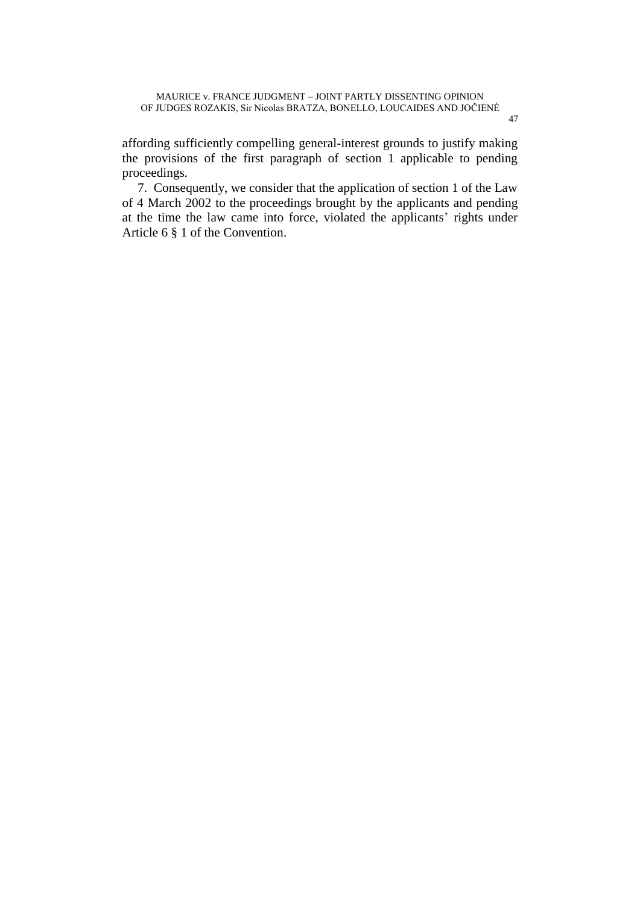affording sufficiently compelling general-interest grounds to justify making the provisions of the first paragraph of section 1 applicable to pending proceedings.

7. Consequently, we consider that the application of section 1 of the Law of 4 March 2002 to the proceedings brought by the applicants and pending at the time the law came into force, violated the applicants' rights under Article 6 § 1 of the Convention.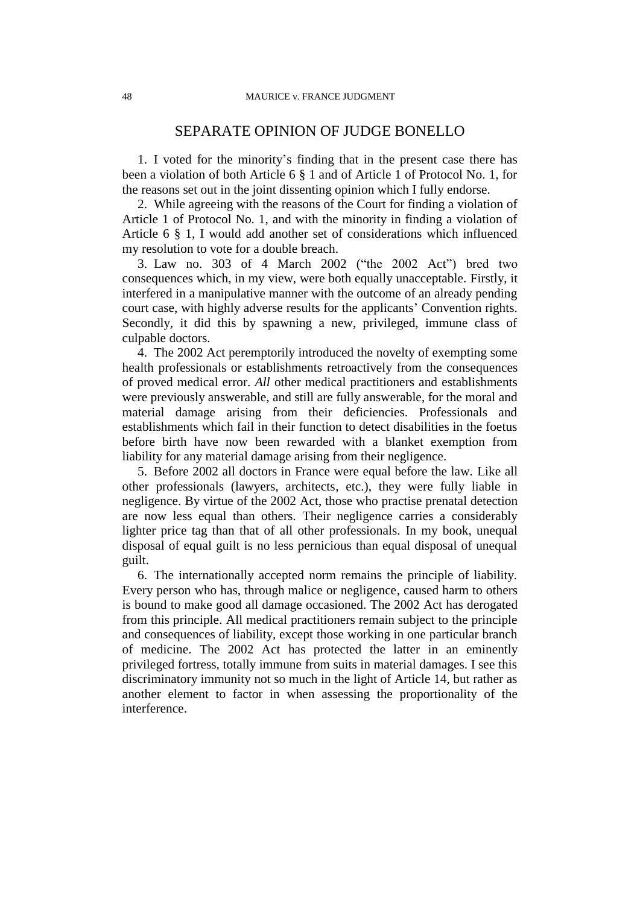## SEPARATE OPINION OF JUDGE BONELLO

1. I voted for the minority's finding that in the present case there has been a violation of both Article 6 § 1 and of Article 1 of Protocol No. 1, for the reasons set out in the joint dissenting opinion which I fully endorse.

2. While agreeing with the reasons of the Court for finding a violation of Article 1 of Protocol No. 1, and with the minority in finding a violation of Article 6 § 1, I would add another set of considerations which influenced my resolution to vote for a double breach.

3. Law no. 303 of 4 March 2002 ("the 2002 Act") bred two consequences which, in my view, were both equally unacceptable. Firstly, it interfered in a manipulative manner with the outcome of an already pending court case, with highly adverse results for the applicants' Convention rights. Secondly, it did this by spawning a new, privileged, immune class of culpable doctors.

4. The 2002 Act peremptorily introduced the novelty of exempting some health professionals or establishments retroactively from the consequences of proved medical error. *All* other medical practitioners and establishments were previously answerable, and still are fully answerable, for the moral and material damage arising from their deficiencies. Professionals and establishments which fail in their function to detect disabilities in the foetus before birth have now been rewarded with a blanket exemption from liability for any material damage arising from their negligence.

5. Before 2002 all doctors in France were equal before the law. Like all other professionals (lawyers, architects, etc.), they were fully liable in negligence. By virtue of the 2002 Act, those who practise prenatal detection are now less equal than others. Their negligence carries a considerably lighter price tag than that of all other professionals. In my book, unequal disposal of equal guilt is no less pernicious than equal disposal of unequal guilt.

6. The internationally accepted norm remains the principle of liability. Every person who has, through malice or negligence, caused harm to others is bound to make good all damage occasioned. The 2002 Act has derogated from this principle. All medical practitioners remain subject to the principle and consequences of liability, except those working in one particular branch of medicine. The 2002 Act has protected the latter in an eminently privileged fortress, totally immune from suits in material damages. I see this discriminatory immunity not so much in the light of Article 14, but rather as another element to factor in when assessing the proportionality of the interference.